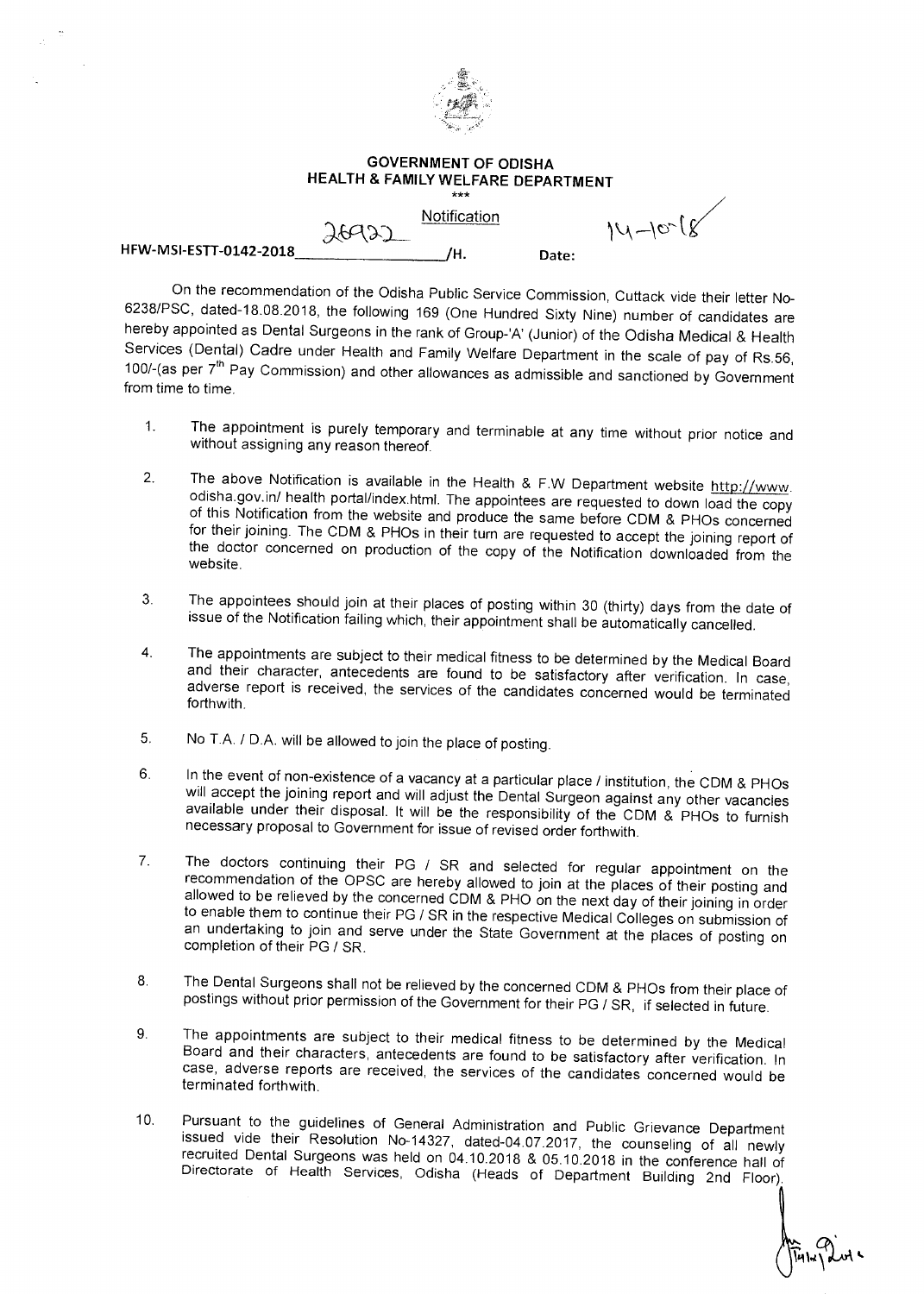

## **GOVERNMENT OF ODISHA HEALTH & FAMILY WELFARE DEPARTMENT**  \*\*\*

**HFW-MSI-ESTT-0142-2018** /H. Date:

Notification

 $14 - 10 - 18$ 

On the recommendation of the Odisha Public Service Commission, Cuttack vide their letter No-6238/PSC, dated-18.08.2018, the following 169 (One Hundred Sixty Nine) number of candidates are hereby appointed as Dental Surgeons in the rank of Group-'A' (Junior) of the Odisha Medical & Health Services (Dental) Cadre under Health and Family Welfare Department in the scale of pay of Rs.56, 100/-(as per  $7<sup>th</sup>$  Pay Commission) and other allowances as admissible and sanctioned by Government from time to time.

- The appointment is purely temporary and terminable at any time without prior notice and  $1<sub>1</sub>$ without assigning any reason thereof.
- 2. The above Notification is available in the Health & F.W Department website http://www. odisha.gov.in/ health portal/index.html. The appointees are requested to down load the copy of this Notification from the website and produce the same before CDM & PHOs concerned for their joining. The CDM & PHOs in their turn are requested to accept the joining report of the doctor concerned on production of the copy of the Notification downloaded from the website.
- 3. The appointees should join at their places of posting within 30 (thirty) days from the date of issue of the Notification failing which, their appointment shall be automatically cancelled.
- 4. The appointments are subject to their medical fitness to be determined by the Medical Board and their character, antecedents are found to be satisfactory after verification. In case, adverse report is received, the services of the candidates concerned would be terminated forthwith.
- 5. No T.A. / D.A. will be allowed to join the place of posting.

76925

- 6. In the event of non-existence of a vacancy at a particular place / institution, the CDM & PHOs where event of the substitution of the process of the Dental Surgeon against any other vacancies available under their disposal. It will be the responsibility of the CDM & PHOs to furnish necessary proposal to Government for issue of revised order forthwith.
- 7. The doctors continuing their PG / SR and selected for regular appointment on the recommendation of the OPSC are hereby allowed to join at the places of their posting and allowed to be relieved by the concerned CDM & PHO on the next day of their joining in order to enable them to continue their PG / SR in the respective Medical Colleges on submission of an undertaking to join and serve under the State Government at the places of posting on completion of their PG / SR.
- 8. The Dental Surgeons shall not be relieved by the concerned CDM & PHOs from their place of postings without prior permission of the Government for their PG / SR, if selected in future.
- 9. The appointments are subject to their medical fitness to be determined by the Medical Board and their characters, antecedents are found to be satisfactory after verification. In case, adverse reports are received, the services of the candidates concerned would be terminated forthwith.
- 10. Pursuant to the guidelines of General Administration and Public Grievance Department issued vide their Resolution No-14327, dated-04.07.2017, the counseling of all newly recruited Dental Surgeons was held on 04.10.2018 & 05.10.2018 in the conference hall of Directorate of Health Services, Odisha (Heads of Department Building 2nd Floor)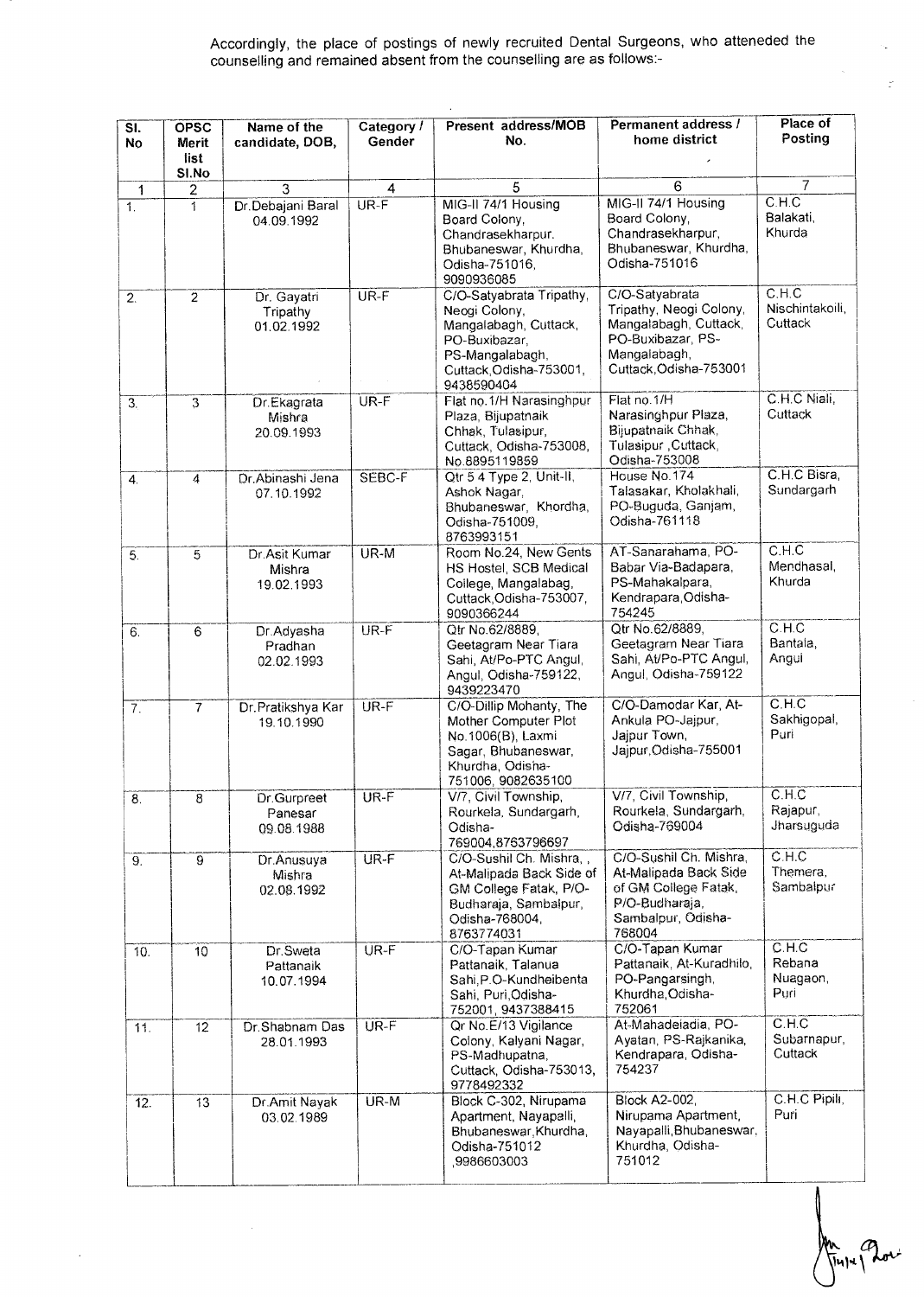## Accordingly, the place of postings of newly recruited Dental Surgeons, who atteneded the counselling and remained absent from the counselling are as follows:-

| $\overline{\mathsf{SI}.}$<br><b>No</b> | OPSC<br>Merit<br>list | Name of the<br>candidate, DOB,        | Category /<br>Gender     | Present address/MOB<br>No.                                                                                                                      | Permanent address /<br>home district                                                                                              | Place of<br>Posting                 |
|----------------------------------------|-----------------------|---------------------------------------|--------------------------|-------------------------------------------------------------------------------------------------------------------------------------------------|-----------------------------------------------------------------------------------------------------------------------------------|-------------------------------------|
|                                        | SI.No                 |                                       |                          |                                                                                                                                                 |                                                                                                                                   | $\overline{7}$                      |
| 1<br>1.                                | 2<br>1                | 3<br>Dr.Debajani Baral<br>04.09.1992  | $\overline{4}$<br>$UR-F$ | 5<br>MIG-II 74/1 Housing<br>Board Colony,<br>Chandrasekharpur.<br>Bhubaneswar, Khurdha,<br>Odisha-751016,<br>9090936085                         | 6<br>MIG-II 74/1 Housing<br>Board Colony.<br>Chandrasekharpur,<br>Bhubaneswar, Khurdha,<br>Odisha-751016                          | C.H.C<br>Balakati,<br>Khurda        |
| $\overline{2}$ .                       | $\overline{2}$        | Dr. Gayatri<br>Tripathy<br>01.02.1992 | UR-F                     | C/O-Satyabrata Tripathy,<br>Neogi Colony,<br>Mangalabagh, Cuttack,<br>PO-Buxibazar,<br>PS-Mangalabagh,<br>Cuttack, Odisha-753001,<br>9438590404 | C/O-Satyabrata<br>Tripathy, Neogi Colony,<br>Mangalabagh, Cuttack,<br>PO-Buxibazar, PS-<br>Mangalabagh,<br>Cuttack, Odisha-753001 | C.H.C<br>Nischintakoili,<br>Cuttack |
| 3.                                     | $\overline{3}$        | Dr.Ekagrata<br>Mishra<br>20.09.1993   | UR-F                     | Flat no.1/H Narasinghpur<br>Plaza, Bijupatnaik<br>Chhak, Tulasipur,<br>Cuttack, Odisha-753008,<br>No.8895119859                                 | Flat no.1/H<br>Narasinghpur Plaza,<br>Bijupatnaik Chhak,<br>Tulasipur , Cuttack,<br>Odisha-753008                                 | C.H.C Niali,<br>Cuttack             |
| $\overline{4}$ .                       | 4                     | Dr Abinashi Jena<br>07.10.1992        | SEBC-F                   | Qtr 5 4 Type 2, Unit-II,<br>Ashok Nagar,<br>Bhubaneswar, Khordha,<br>Odisha-751009,<br>8763993151                                               | House No.174<br>Talasakar, Kholakhali,<br>PO-Buguda, Ganjam,<br>Odisha-761118                                                     | C.H.C Bisra,<br>Sundargarh          |
| $\overline{5}$ .                       | 5                     | Dr.Asit Kumar<br>Mishra<br>19.02.1993 | $UR-M$                   | Room No.24, New Gents<br>HS Hostel, SCB Medical<br>College, Mangalabag,<br>Cuttack, Odisha-753007,<br>9090366244                                | AT-Sanarahama, PO-<br>Babar Via-Badapara,<br>PS-Mahakalpara,<br>Kendrapara, Odisha-<br>754245                                     | C.H.C<br>Mendhasal,<br>Khurda       |
| 6.                                     | 6                     | Dr.Adyasha<br>Pradhan<br>02.02.1993   | UR-F                     | Qtr No.62/8889,<br>Geetagram Near Tiara<br>Sahi, At/Po-PTC Angul,<br>Angul, Odisha-759122,<br>9439223470                                        | Qtr No.62/8889,<br>Geetagram Near Tiara<br>Sahi, At/Po-PTC Angul,<br>Angul, Odisha-759122                                         | C.H.C<br>Bantala,<br>Angui          |
| 7.                                     | $\overline{7}$        | Dr. Pratikshya Kar<br>19.10.1990      | UR-F                     | C/O-Dillip Mohanty, The<br>Mother Computer Plot<br>No.1006(B), Laxmi<br>Sagar, Bhubaneswar,<br>Khurdha, Odisha-<br>751006, 9082635100           | C/O-Damodar Kar, At-<br>Ankula PO-Jajpur,<br>Jajpur Town,<br>Jajpur Odisha-755001                                                 | C.H.C<br>Sakhigopal,<br>Puri        |
| 8.                                     | $8^{\circ}$           | Dr.Gurpreet<br>Panesar<br>09.08.1988  | UR-F                     | V/7, Civil Township,<br>Rourkela, Sundargarh,<br>Odisha-<br>769004,8763796697                                                                   | V/7, Civil Township,<br>Rourkela, Sundargarh,<br>Odisha-769004                                                                    | C.H.C<br>Rajapur,<br>Jharsuguda     |
| 9.                                     | ์ดั                   | Dr. Anusuya<br>Mishra<br>02.08.1992   | $UR-F$                   | C/O-Sushil Ch. Mishra,,<br>At-Malipada Back Side of<br>GM College Fatak, P/O-<br>Budharaja, Sambalpur,<br>Odisha-768004,<br>8763774031          | C/O-Sushil Ch. Mishra,<br>At-Malipada Back Side<br>of GM College Fatak,<br>P/O-Budharaia.<br>Sambalpur, Odisha-<br>768004         | C.H.C<br>Themera,<br>Sambalpur      |
| 10.                                    | 10                    | Dr. Sweta<br>Pattanaik<br>10.07.1994  | $UR-F$                   | C/O-Tapan Kumar<br>Pattanaik, Talanua<br>Sahi, P.O-Kundheibenta<br>Sahi, Puri Odisha-<br>752001, 9437388415                                     | C/O-Tapan Kumar<br>Pattanaik, At-Kuradhilo,<br>PO-Pangarsingh,<br>Khurdha.Odisha-<br>752061                                       | C.H.C<br>Rebana<br>Nuagaon,<br>Puri |
| 11.                                    | $\overline{12}$       | Dr.Shabnam Das<br>28.01.1993          | $UR-F$                   | Qr No.E/13 Vigilance<br>Colony, Kalyani Nagar,<br>PS-Madhupatna,<br>Cuttack, Odisha-753013,<br>9778492332                                       | At-Mahadeiadia, PO-<br>Ayatan, PS-Rajkanika,<br>Kendrapara, Odisha-<br>754237                                                     | C.H.C<br>Subarnapur,<br>Cuttack     |
| 12.                                    | 13                    | Dr.Amit Nayak<br>03.02.1989           | UR-M                     | Block C-302, Nirupama<br>Apartment, Nayapalli,<br>Bhubaneswar, Khurdha,<br>Odisha-751012<br>9986603003                                          | <b>Block A2-002,</b><br>Nirupama Apartment,<br>Nayapalli, Bhubaneswar,<br>Khurdha, Odisha-<br>751012                              | C.H.C Pipili,<br>Puri               |

ŀ.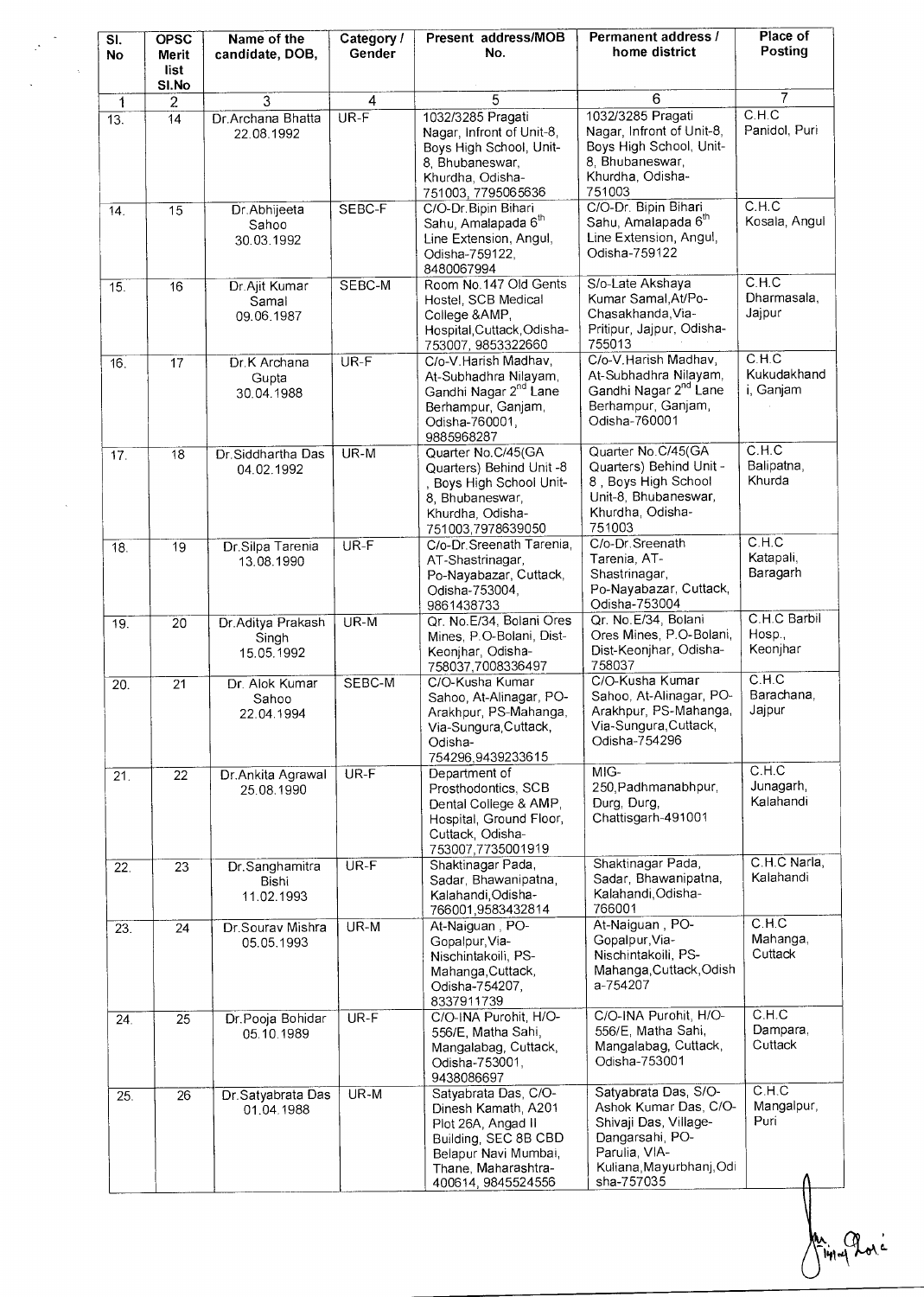| SI.<br>No       | <b>OPSC</b><br>Merit<br>list<br>SI.No | Name of the<br>candidate, DOB,           | Category /<br>Gender | Present address/MOB<br>No.                                                                                                                                     | Permanent address /<br>home district                                                                                                                 | Place of<br>Posting                        |
|-----------------|---------------------------------------|------------------------------------------|----------------------|----------------------------------------------------------------------------------------------------------------------------------------------------------------|------------------------------------------------------------------------------------------------------------------------------------------------------|--------------------------------------------|
| $\mathbf{1}$    | $\overline{c}$                        | $\overline{3}$                           | 4                    | 5                                                                                                                                                              | 6                                                                                                                                                    | $\overline{7}$                             |
| 13.             | 14                                    | Dr.Archana Bhatta<br>22.08.1992          | $UR-F$               | 1032/3285 Pragati<br>Nagar, Infront of Unit-8,<br>Boys High School, Unit-<br>8, Bhubaneswar,<br>Khurdha, Odisha-<br>751003, 7795065636                         | 1032/3285 Pragati<br>Nagar, Infront of Unit-8,<br>Boys High School, Unit-<br>8, Bhubaneswar,<br>Khurdha, Odisha-<br>751003                           | C.H.C<br>Panidol, Puri                     |
| 14.             | 15                                    | Dr.Abhijeeta<br>Sahoo<br>30.03.1992      | SEBC-F               | C/O-Dr. Bipin Bihari<br>Sahu, Amalapada 6 <sup>th</sup><br>Line Extension, Angul,<br>Odisha-759122,<br>8480067994                                              | C/O-Dr. Bipin Bihari<br>Sahu, Amalapada 6 <sup>th</sup><br>Line Extension, Angul,<br>Odisha-759122                                                   | C.H.C<br>Kosala, Angul                     |
| 15.             | 16                                    | Dr.Ajit Kumar<br>Samal<br>09.06.1987     | SEBC-M               | Room No.147 Old Gents<br>Hostel, SCB Medical<br>College & AMP,<br>Hospital, Cuttack, Odisha-<br>753007, 9853322660                                             | S/o-Late Akshaya<br>Kumar Samal, At/Po-<br>Chasakhanda, Via-<br>Pritipur, Jajpur, Odisha-<br>755013                                                  | C.H.C<br>Dharmasala,<br>Jajpur             |
| 16.             | 17                                    | Dr.K Archana<br>Gupta<br>30.04.1988      | $UR-F$               | C/o-V.Harish Madhav,<br>At-Subhadhra Nilayam,<br>Gandhi Nagar 2 <sup>nd</sup> Lane<br>Berhampur, Ganjam,<br>Odisha-760001,<br>9885968287                       | C/o-V. Harish Madhav,<br>At-Subhadhra Nilayam,<br>Gandhi Nagar 2 <sup>nd</sup> Lane<br>Berhampur, Ganjam,<br>Odisha-760001                           | C.H.C<br>Kukudakhand<br>i, Ganjam          |
| 17 <sub>1</sub> | 18                                    | Dr. Siddhartha Das<br>04.02.1992         | UR-M                 | Quarter No.C/45(GA<br>Quarters) Behind Unit -8<br>, Boys High School Unit-<br>8, Bhubaneswar,<br>Khurdha, Odisha-<br>751003,7978639050                         | Quarter No. C/45(GA<br>Quarters) Behind Unit -<br>8, Boys High School<br>Unit-8, Bhubaneswar,<br>Khurdha, Odisha-<br>751003                          | C.H.C<br>Balipatna,<br>Khurda              |
| 18.             | 19                                    | Dr.Silpa Tarenia<br>13.08.1990           | $UR-F$               | C/o-Dr. Sreenath Tarenia,<br>AT-Shastrinagar,<br>Po-Nayabazar, Cuttack,<br>Odisha-753004,<br>9861438733                                                        | C/o-Dr. Sreenath<br>Tarenia, AT-<br>Shastrinagar,<br>Po-Nayabazar, Cuttack,<br>Odisha-753004                                                         | C.H.C<br>Katapali,<br>Baragarh             |
| 19.             | 20                                    | Dr.Aditya Prakash<br>Singh<br>15.05.1992 | $UR-M$               | Qr. No.E/34, Bolani Ores<br>Mines, P.O-Bolani, Dist-<br>Keonjhar, Odisha-<br>758037,7008336497                                                                 | Qr. No. E/34, Bolani<br>Ores Mines, P.O-Bolani,<br>Dist-Keonjhar, Odisha-<br>758037                                                                  | C.H.C Barbil<br>Hosp.,<br>Keonjhar         |
| 20.             | 21                                    | Dr. Alok Kumar<br>Sahoo<br>22.04.1994    | SEBC-M               | C/O-Kusha Kumar<br>Sahoo, At-Alinagar, PO-<br>Arakhpur, PS-Mahanga,<br>Via-Sungura, Cuttack,<br>Odisha-<br>754296,9439233615                                   | C/O-Kusha Kumar<br>Sahoo, At-Alinagar, PO-<br>Arakhpur, PS-Mahanga,<br>Via-Sungura, Cuttack,<br>Odisha-754296                                        | $\overline{C.H.C}$<br>Barachana,<br>Jajpur |
| 21.             | 22                                    | Dr.Ankita Agrawal<br>25.08.1990          | $UR-F$               | Department of<br>Prosthodontics, SCB<br>Dental College & AMP,<br>Hospital, Ground Floor,<br>Cuttack, Odisha-<br>753007,7735001919                              | MIG-<br>250, Padhmanabhpur,<br>Durg, Durg,<br>Chattisgarh-491001                                                                                     | C.H.C<br>Junagarh,<br>Kalahandi            |
| 22.             | 23                                    | Dr.Sanghamitra<br>Bishi<br>11.02.1993    | $UR-F$               | Shaktinagar Pada,<br>Sadar, Bhawanipatna,<br>Kalahandi, Odisha-<br>766001,9583432814                                                                           | Shaktinagar Pada,<br>Sadar, Bhawanipatna,<br>Kalahandi, Odisha-<br>766001                                                                            | C.H.C Narla,<br>Kalahandi                  |
| 23.             | 24                                    | Dr.Sourav Mishra<br>05.05.1993           | UR-M                 | At-Naiguan, PO-<br>Gopalpur, Via-<br>Nischintakoili, PS-<br>Mahanga, Cuttack,<br>Odisha-754207,<br>8337911739                                                  | At-Naiguan, PO-<br>Gopalpur, Via-<br>Nischintakoili, PS-<br>Mahanga, Cuttack, Odish<br>a-754207                                                      | C.H.C.<br>Mahanga,<br>Cuttack              |
| 24.             | 25                                    | Dr.Pooja Bohidar<br>05.10.1989           | $UR-F$               | C/O-INA Purohit, H/O-<br>556/E, Matha Sahi,<br>Mangalabag, Cuttack,<br>Odisha-753001,<br>9438086697                                                            | C/O-INA Purohit, H/O-<br>556/E, Matha Sahi,<br>Mangalabag, Cuttack,<br>Odisha-753001                                                                 | C.H.C<br>Dampara,<br>Cuttack<br>C.H.C.     |
| 25.             | 26                                    | Dr.Satyabrata Das<br>01.04.1988          | UR-M                 | Satyabrata Das, C/O-<br>Dinesh Kamath, A201<br>Plot 26A, Angad II<br>Building, SEC 8B CBD<br>Belapur Navi Mumbai,<br>Thane, Maharashtra-<br>400614, 9845524556 | Satyabrata Das, S/O-<br>Ashok Kumar Das, C/O-<br>Shivaji Das, Village-<br>Dangarsahi, PO-<br>Parulia, VIA-<br>Kuliana, Mayurbhanj, Odi<br>sha-757035 | Mangalpur,<br>Puri                         |

 $\frac{1}{2}$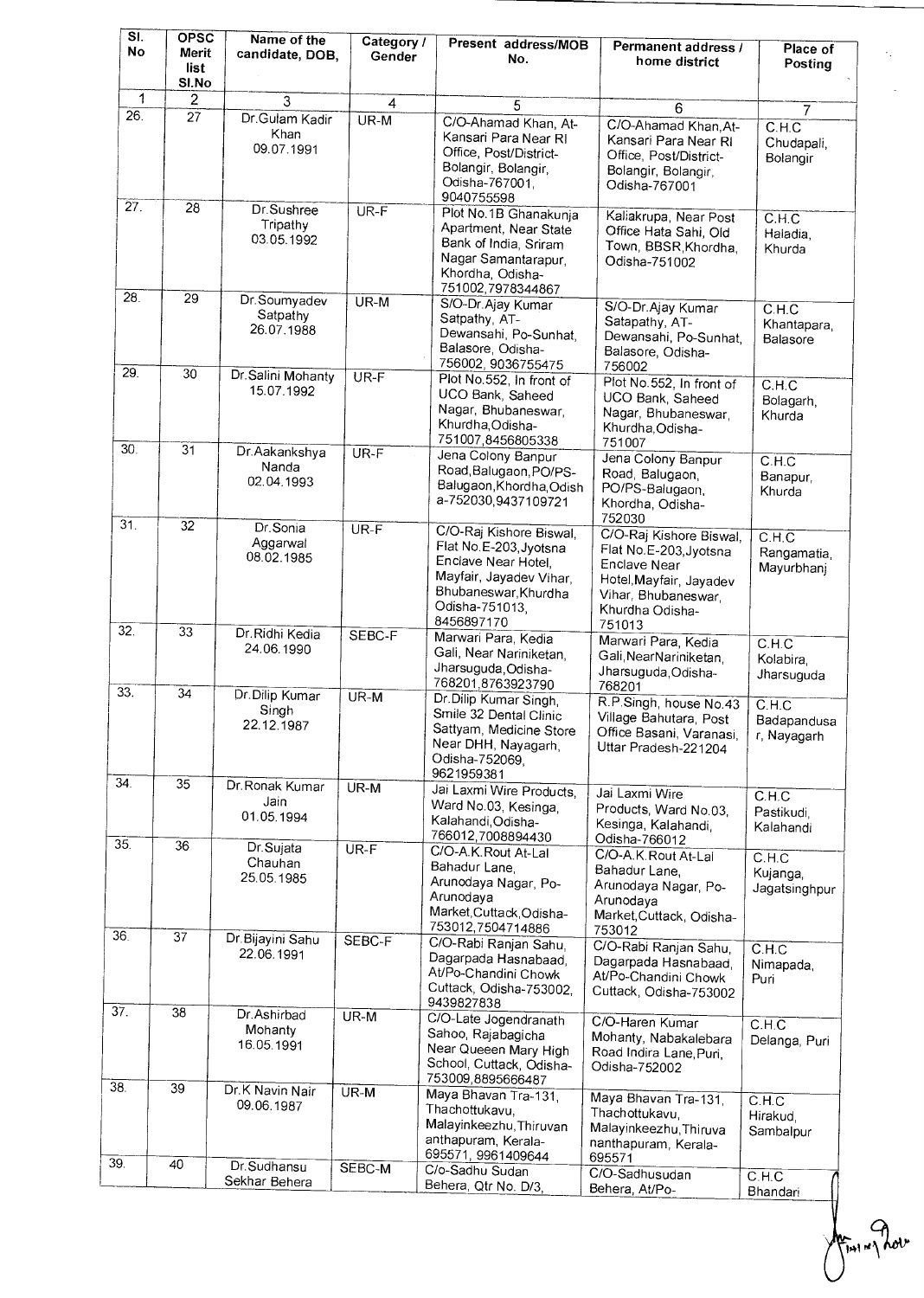| SI.<br>No       | <b>OPSC</b><br>Merit<br>list<br>SI.No | Name of the<br>candidate, DOB,         | Category /<br>Gender | Present address/MOB<br>No.                                                                                                                                  | Permanent address /<br>home district                                                                                                             | Place of<br>Posting                           |
|-----------------|---------------------------------------|----------------------------------------|----------------------|-------------------------------------------------------------------------------------------------------------------------------------------------------------|--------------------------------------------------------------------------------------------------------------------------------------------------|-----------------------------------------------|
| 1               | $\overline{c}$                        | 3                                      | $\overline{4}$       | 5                                                                                                                                                           | 6                                                                                                                                                | $\overline{7}$                                |
| 26.             | 27                                    | Dr.Gulam Kadir<br>Khan<br>09.07.1991   | UR-M                 | C/O-Ahamad Khan, At-<br>Kansari Para Near RI<br>Office, Post/District-<br>Bolangir, Bolangir,<br>Odisha-767001,<br>9040755598                               | C/O-Ahamad Khan.At-<br>Kansari Para Near RI<br>Office, Post/District-<br>Bolangir, Bolangir,<br>Odisha-767001                                    | C.H.C<br>Chudapali,<br>Bolangir               |
| 27.             | 28                                    | Dr.Sushree<br>Tripathy<br>03.05.1992   | UR-F                 | Plot No. 1B Ghanakunja<br>Apartment, Near State<br>Bank of India, Sriram<br>Nagar Samantarapur,<br>Khordha, Odisha-<br>751002,7978344867                    | Kaliakrupa, Near Post<br>Office Hata Sahi, Old<br>Town, BBSR, Khordha,<br>Odisha-751002                                                          | C.H.C<br>Haiadia,<br>Khurda                   |
| 28.             | $\overline{29}$                       | Dr.Soumyadev<br>Satpathy<br>26.07.1988 | $UR-M$               | S/O-Dr.Ajay Kumar<br>Satpathy, AT-<br>Dewansahi, Po-Sunhat,<br>Balasore, Odisha-<br>756002, 9036755475                                                      | S/O-Dr.Ajay Kumar<br>Satapathy, AT-<br>Dewansahi, Po-Sunhat,<br>Balasore, Odisha-                                                                | $C.H.\overline{C}$<br>Khantapara,<br>Balasore |
| 29.             | 30 <sup>2</sup>                       | Dr. Salini Mohanty<br>15.07.1992       | $UR-F$               | Plot No.552, In front of<br>UCO Bank, Saheed<br>Nagar, Bhubaneswar,<br>Khurdha, Odisha-<br>751007,8456805338                                                | 756002<br>Plot No.552, In front of<br>UCO Bank, Saheed<br>Nagar, Bhubaneswar,<br>Khurdha, Odisha-<br>751007                                      | CH.C<br>Bolagarh,<br>Khurda                   |
| 30.             | $\overline{31}$                       | Dr.Aakankshya<br>Nanda<br>02.04.1993   | $UR-F$               | Jena Colony Banpur<br>Road, Balugaon, PO/PS-<br>Balugaon, Khordha, Odish<br>a-752030,9437109721                                                             | Jena Colony Banpur<br>Road, Balugaon,<br>PO/PS-Balugaon,<br>Khordha, Odisha-<br>752030                                                           | C.H.C<br>Banapur,<br>Khurda                   |
| 31.<br>32.      | $\overline{32}$                       | Dr.Sonia<br>Aggarwal<br>08.02.1985     | $UR-F$               | C/O-Raj Kishore Biswal,<br>Flat No.E-203, Jyotsna<br>Enclave Near Hotel,<br>Mayfair, Jayadev Vihar,<br>Bhubaneswar, Khurdha<br>Odisha-751013,<br>8456897170 | C/O-Raj Kishore Biswal,<br>Flat No.E-203, Jyotsna<br>Enclave Near<br>Hotel, Mayfair, Jayadev<br>Vihar, Bhubaneswar,<br>Khurdha Odisha-<br>751013 | C.H.C<br>Rangamatia,<br>Mayurbhanj            |
|                 | 33                                    | Dr. Ridhi Kedia<br>24.06.1990          | SEBC-F               | Marwari Para, Kedia<br>Gali, Near Nariniketan,<br>Jharsuguda, Odisha-<br>768201,8763923790                                                                  | Marwari Para, Kedia<br>Gali, Near Nariniketan,<br>Jharsuguda, Odisha-<br>768201                                                                  | C.H.C<br>Kolabira,<br>Jharsuguda              |
| 33.             | 34                                    | Dr.Dilip Kumar<br>Singh<br>22.12.1987  | UR-M                 | Dr. Dilip Kumar Singh,<br>Smile 32 Dental Clinic<br>Sattyam, Medicine Store<br>Near DHH, Nayagarh,<br>Odisha-752069,<br>9621959381                          | R.P.Singh, house No.43<br>Village Bahutara, Post<br>Office Basani, Varanasi,<br>Uttar Pradesh-221204                                             | C.H.C<br>Badapandusa<br>r, Nayagarh           |
| 34.             | 35                                    | Dr. Ronak Kumar<br>Jain<br>01.05.1994  | UR-M                 | Jai Laxmi Wire Products,<br>Ward No.03, Kesinga,<br>Kalahandi, Odisha-<br>766012,7008894430                                                                 | Jai Laxmi Wire<br>Products, Ward No.03,<br>Kesinga, Kalahandi,<br>Odisha-766012                                                                  | C.H.C<br>Pastikudi,<br>Kalahandi              |
| 35.             | 36                                    | Dr.Sujata<br>Chauhan<br>25.05.1985     | $UR-F$               | C/O-A.K.Rout At-Lal<br>Bahadur Lane,<br>Arunodaya Nagar, Po-<br>Arunodaya<br>Market, Cuttack, Odisha-<br>753012,7504714886                                  | C/O-A.K. Rout At-Lal<br>Bahadur Lane,<br>Arunodaya Nagar, Po-<br>Arunodaya<br>Market, Cuttack, Odisha-<br>753012                                 | C.H.C<br>Kujanga,<br>Jagatsinghpur            |
| 36.             | 37                                    | Dr. Bijayini Sahu<br>22.06.1991        | SEBC-F               | C/O-Rabi Ranjan Sahu,<br>Dagarpada Hasnabaad,<br>At/Po-Chandini Chowk<br>Cuttack, Odisha-753002,<br>9439827838                                              | C/O-Rabi Ranjan Sahu,<br>Dagarpada Hasnabaad,<br>At/Po-Chandini Chowk<br>Cuttack, Odisha-753002                                                  | C.H.C<br>Nimapada,<br>Puri                    |
| $\overline{37}$ | 38                                    | Dr.Ashirbad<br>Mohanty<br>16.05.1991   | $UR-M$               | C/O-Late Jogendranath<br>Sahoo, Rajabagicha<br>Near Queeen Mary High<br>School, Cuttack, Odisha-<br>753009,8895666487                                       | C/O-Haren Kumar<br>Mohanty, Nabakalebara<br>Road Indira Lane, Puri,<br>Odisha-752002                                                             | C.H.C<br>Delanga, Puri                        |
| 38.             | 39                                    | Dr.K Navin Nair<br>09.06.1987          | UR-M                 | Maya Bhavan Tra-131.<br>Thachottukavu,<br>Malayinkeezhu, Thiruvan<br>anthapuram, Kerala-<br>695571, 9961409644                                              | Maya Bhavan Tra-131,<br>Thachottukavu,<br>Malayinkeezhu, Thiruva<br>nanthapuram, Kerala-<br>695571                                               | C.H.C<br>Hirakud,<br>Sambalpur                |
| 39.             | 40                                    | Dr.Sudhansu<br>Sekhar Behera           | SEBC-M               | C/o-Sadhu Sudan<br>Behera, Qtr No. D/3,                                                                                                                     | C/O-Sadhusudan<br>Behera, At/Po-                                                                                                                 | C.H.C<br>Bhandari                             |

 $\frac{1}{\sqrt{\frac{1}{1}}\cdot\frac{1}{1}}$  and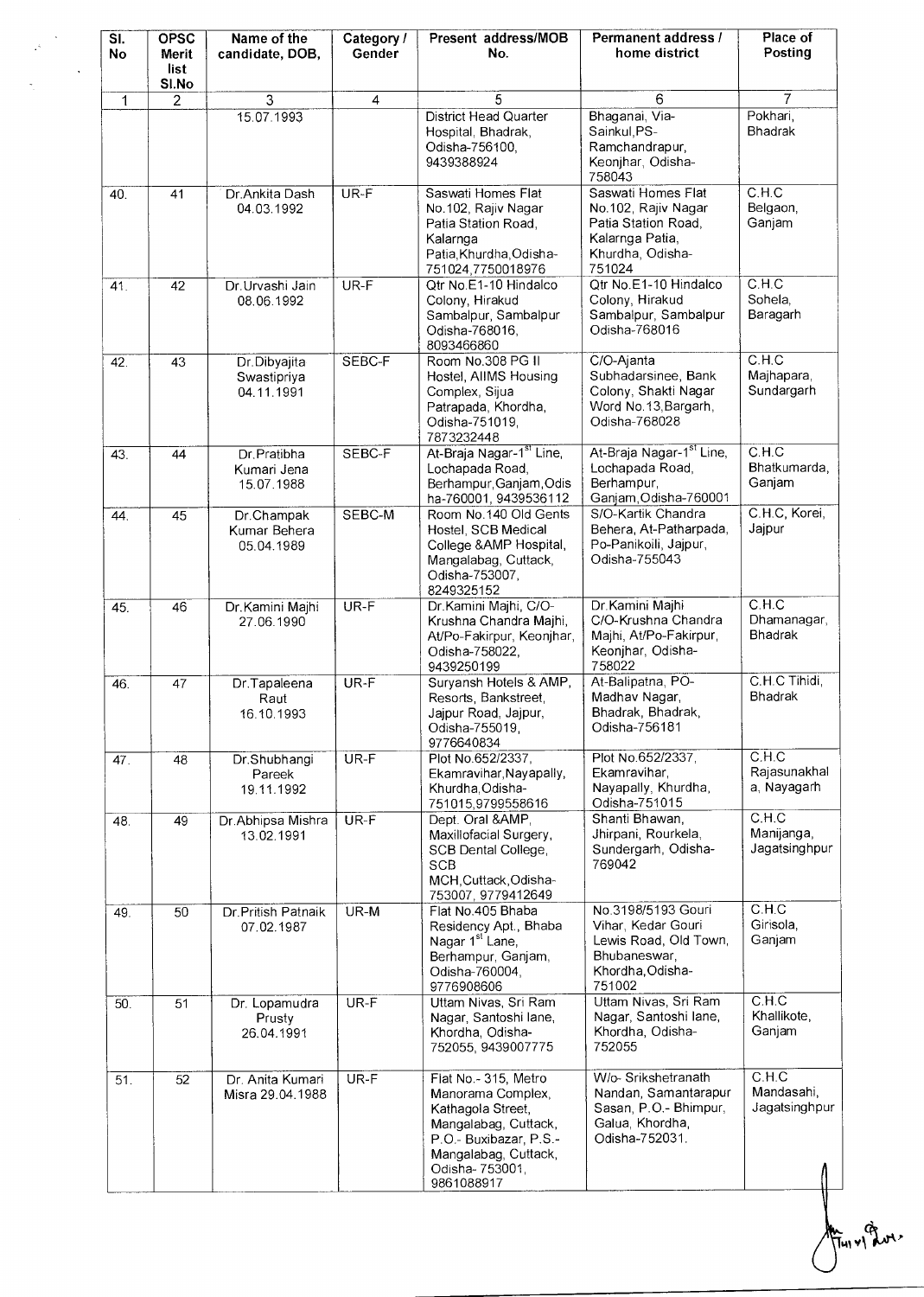| SI.<br><b>No</b> | <b>OPSC</b><br>Merit<br>list<br>SI.No | Name of the<br>candidate, DOB,            | Category /<br>Gender | Present address/MOB<br>No.                                                                                                                                                 | Permanent address /<br>home district                                                                              | Place of<br>Posting                    |
|------------------|---------------------------------------|-------------------------------------------|----------------------|----------------------------------------------------------------------------------------------------------------------------------------------------------------------------|-------------------------------------------------------------------------------------------------------------------|----------------------------------------|
| 1                | $\overline{2}$                        | 3                                         | $\overline{4}$       | 5                                                                                                                                                                          | 6                                                                                                                 | 7                                      |
|                  |                                       | 15.07.1993                                |                      | <b>District Head Quarter</b><br>Hospital, Bhadrak,<br>Odisha-756100,<br>9439388924                                                                                         | Bhaganai, Via-<br>Sainkul, PS-<br>Ramchandrapur,<br>Keonjhar, Odisha-<br>758043                                   | Pokhari,<br><b>Bhadrak</b>             |
| 40.              | 41                                    | Dr.Ankita Dash<br>04.03.1992              | UR-F                 | Saswati Homes Flat<br>No.102, Rajiv Nagar<br>Patia Station Road,<br>Kalarnga<br>Patia, Khurdha, Odisha-<br>751024,7750018976                                               | Saswati Homes Flat<br>No.102, Rajiv Nagar<br>Patia Station Road,<br>Kalarnga Patia,<br>Khurdha, Odisha-<br>751024 | C.H.C<br>Belgaon,<br>Ganjam            |
| 41.              | 42                                    | Dr. Urvashi Jain<br>08.06.1992            | UR-F                 | Qtr No.E1-10 Hindalco<br>Colony, Hirakud<br>Sambalpur, Sambalpur<br>Odisha-768016,<br>8093466860                                                                           | Qtr No.E1-10 Hindalco<br>Colony, Hirakud<br>Sambalpur, Sambalpur<br>Odisha-768016                                 | C.H.C.<br>Sohela.<br>Baragarh          |
| 42.              | 43                                    | Dr.Dibyajita<br>Swastipriya<br>04.11.1991 | SEBC-F               | Room No.308 PG II<br>Hostel, AlIMS Housing<br>Complex, Sijua<br>Patrapada, Khordha,<br>Odisha-751019,<br>7873232448                                                        | C/O-Ajanta<br>Subhadarsinee, Bank<br>Colony, Shakti Nagar<br>Word No.13, Bargarh,<br>Odisha-768028                | C.H.C<br>Majhapara,<br>Sundargarh      |
| 43.              | 44                                    | Dr.Pratibha<br>Kumari Jena<br>15.07.1988  | SEBC-F               | At-Braja Nagar-1 <sup>st</sup> Line,<br>Lochapada Road,<br>Berhampur, Ganjam, Odis<br>ha-760001, 9439536112                                                                | At-Braja Nagar-1 <sup>st</sup> Line,<br>Lochapada Road,<br>Berhampur,<br>Ganjam, Odisha-760001                    | C.H.C<br>Bhatkumarda,<br>Ganjam        |
| 44.              | 45                                    | Dr.Champak<br>Kumar Behera<br>05.04.1989  | SEBC-M               | Room No.140 Old Gents<br>Hostel, SCB Medical<br>College & AMP Hospital,<br>Mangalabag, Cuttack,<br>Odisha-753007,<br>8249325152                                            | S/O-Kartik Chandra<br>Behera, At-Patharpada,<br>Po-Panikoili, Jajpur,<br>Odisha-755043                            | C.H.C, Korei,<br>Jajpur                |
| 45.              | 46                                    | Dr. Kamini Majhi<br>27.06.1990            | $UR-F$               | Dr.Kamini Majhi, C/O-<br>Krushna Chandra Majhi,<br>At/Po-Fakirpur, Keonjhar,<br>Odisha-758022,<br>9439250199                                                               | Dr.Kamini Majhi<br>C/O-Krushna Chandra<br>Majhi, At/Po-Fakirpur,<br>Keonjhar, Odisha-<br>758022                   | C.H.C<br>Dhamanagar,<br><b>Bhadrak</b> |
| 46.              | 47                                    | Dr.Tapaleena<br>Raut<br>16.10.1993        | UR-F                 | Suryansh Hotels & AMP,<br>Resorts, Bankstreet,<br>Jajpur Road, Jajpur,<br>Odisha-755019,<br>9776640834                                                                     | At-Balipatna, PO-<br>Madhav Nagar,<br>Bhadrak, Bhadrak,<br>Odisha-756181                                          | C.H.C Tihidi,<br><b>Bhadrak</b>        |
| 47.              | 48                                    | Dr.Shubhangi<br>Pareek<br>19.11.1992      | $UR-F$               | Plot No.652/2337,<br>Ekamravihar, Nayapally,<br>Khurdha, Odisha-<br>751015,9799558616                                                                                      | Plot No.652/2337,<br>Ekamravihar.<br>Nayapally, Khurdha,<br>Odisha-751015                                         | C.H.C<br>Rajasunakhal<br>a. Nayagarh   |
| 48.              | 49                                    | Dr.Abhipsa Mishra<br>13.02.1991           | UR-F                 | Dept. Oral &,<br>Maxillofacial Surgery,<br>SCB Dental College,<br><b>SCB</b><br>MCH Cuttack Odisha-<br>753007, 9779412649                                                  | Shanti Bhawan,<br>Jhirpani, Rourkela,<br>Sundergarh, Odisha-<br>769042                                            | C.H.C<br>Manijanga,<br>Jagatsinghpur   |
| 49.              | 50                                    | Dr. Pritish Patnaik<br>07.02.1987         | UR-M                 | Flat No.405 Bhaba<br>Residency Apt., Bhaba<br>Nagar 1 <sup>st</sup> Lane,<br>Berhampur, Ganjam,<br>Odisha-760004,<br>9776908606                                            | No.3198/5193 Gouri<br>Vihar, Kedar Gouri<br>Lewis Road, Old Town,<br>Bhubaneswar,<br>Khordha, Odisha-<br>751002   | C.H.C<br>Girisola,<br>Ganjam           |
| 50.              | 51                                    | Dr. Lopamudra<br>Prusty<br>26.04.1991     | UR-F                 | Uttam Nivas, Sri Ram<br>Nagar, Santoshi lane,<br>Khordha, Odisha-<br>752055, 9439007775                                                                                    | Uttam Nivas, Sri Ram<br>Nagar, Santoshi lane,<br>Khordha, Odisha-<br>752055                                       | C.H.C<br>Khallikote,<br>Ganjam         |
| 51.              | 52                                    | Dr. Anita Kumari<br>Misra 29.04.1988      | $UR-F$               | Flat No. - 315, Metro<br>Manorama Complex,<br>Kathagola Street,<br>Mangalabag, Cuttack,<br>P.O.- Buxibazar, P.S.-<br>Mangalabag, Cuttack,<br>Odisha- 753001,<br>9861088917 | W/o- Srikshetranath<br>Nandan, Samantarapur<br>Sasan, P.O.- Bhimpur,<br>Galua, Khordha,<br>Odisha-752031.         | C.H.C<br>Mandasahi,<br>Jagatsinghpur   |

Ful v1 Prot.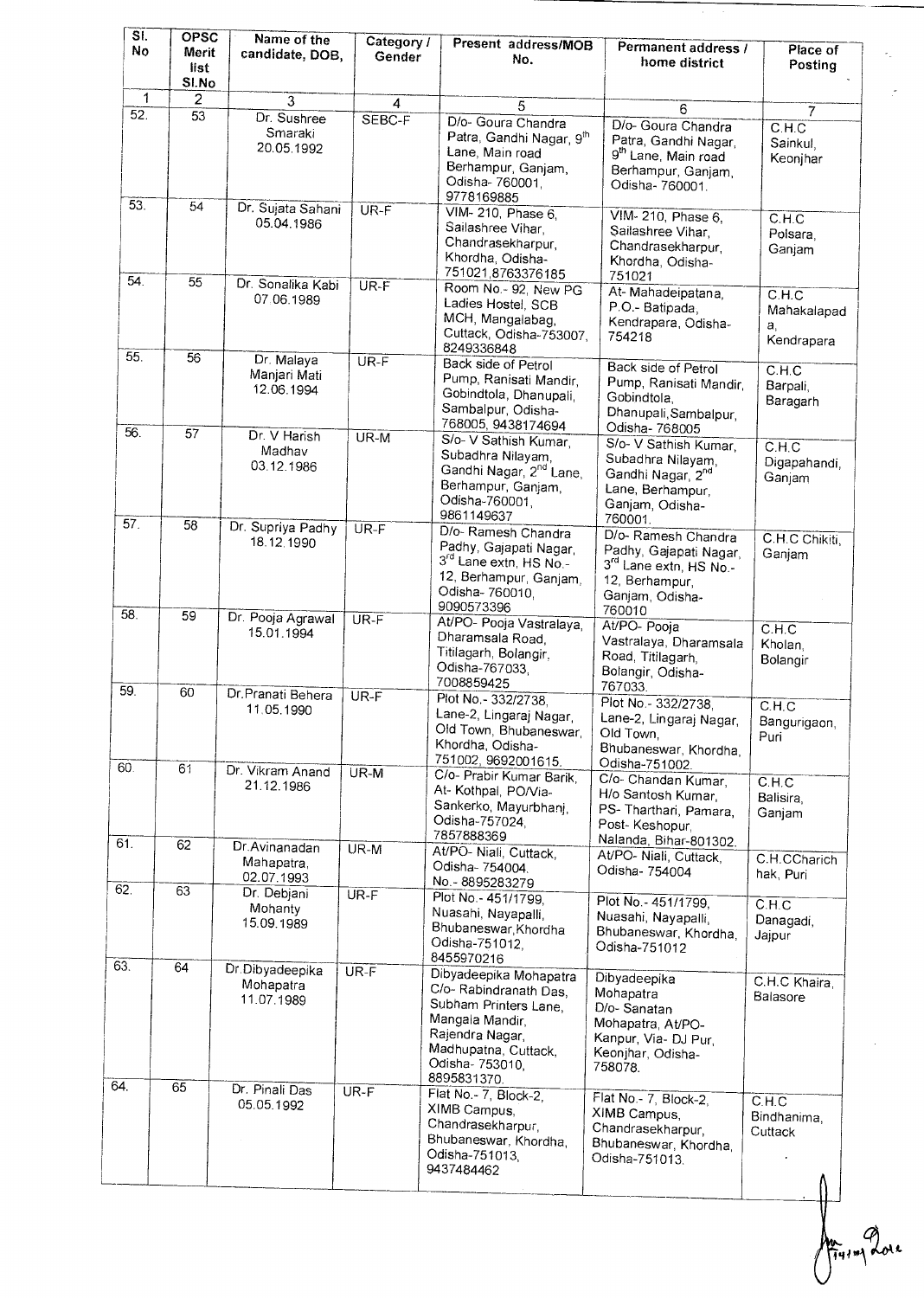| SI.<br>No  | <b>OPSC</b><br>Merit<br>list<br>SI.No | Name of the<br>candidate, DOB,             | Category /<br>Gender | Present address/MOB<br>No.                                                                                                                                              | Permanent address /<br>home district                                                                                              | Place of<br>Posting                             |
|------------|---------------------------------------|--------------------------------------------|----------------------|-------------------------------------------------------------------------------------------------------------------------------------------------------------------------|-----------------------------------------------------------------------------------------------------------------------------------|-------------------------------------------------|
| 1          | $\overline{2}$                        | 3                                          | 4                    | 5                                                                                                                                                                       | 6                                                                                                                                 |                                                 |
| 52.        | 53                                    | Dr. Sushree<br>Smaraki<br>20.05.1992       | SEBC-F               | D/o- Goura Chandra<br>Patra, Gandhi Nagar, 9th<br>Lane, Main road<br>Berhampur, Ganjam,<br>Odisha- 760001,<br>9778169885                                                | D/o- Goura Chandra<br>Patra, Gandhi Nagar,<br>9 <sup>th</sup> Lane, Main road<br>Berhampur, Ganjam,<br>Odisha-760001.             | $\overline{7}$<br>C.H.C<br>Sainkul,<br>Keonihar |
| 53.        | 54                                    | Dr. Sujata Sahani<br>05.04.1986            | UR-F                 | VIM- 210, Phase 6,<br>Sailashree Vihar,<br>Chandrasekharpur,<br>Khordha, Odisha-<br>751021,8763376185                                                                   | VIM-210, Phase 6,<br>Sailashree Vihar,<br>Chandrasekharpur,<br>Khordha, Odisha-<br>751021                                         | C.H.C<br>Polsara,<br>Ganjam                     |
| 54.        | 55                                    | Dr. Sonalika Kabi<br>07.06.1989            | UR-F                 | Room No. - 92, New PG<br>Ladies Hostel, SCB<br>MCH, Mangalabag,<br>Cuttack, Odisha-753007,<br>8249336848                                                                | At-Mahadeipatana,<br>P.O.- Batipada,<br>Kendrapara, Odisha-<br>754218                                                             | C.H.C<br>Mahakalapad<br>a.<br>Kendrapara        |
| 55.<br>56. | 56                                    | Dr. Malaya<br>Manjari Mati<br>12.06.1994   | $UR-F$               | Back side of Petrol<br>Pump, Ranisati Mandir,<br>Gobindtola, Dhanupali,<br>Sambalpur, Odisha-<br>768005, 9438174694                                                     | Back side of Petrol<br>Pump, Ranisati Mandir,<br>Gobindtola,<br>Dhanupali, Sambalpur,<br>Odisha- 768005                           | C.H.C<br>Barpali,<br>Baragarh                   |
|            | 57                                    | Dr. V Harish<br>Madhav<br>03.12.1986       | $UR-M$               | S/o- V Sathish Kumar,<br>Subadhra Nilayam,<br>Gandhi Nagar, 2 <sup>nd</sup> Lane,<br>Berhampur, Ganjam,<br>Odisha-760001,<br>9861149637                                 | S/o- V Sathish Kumar,<br>Subadhra Nilayam,<br>Gandhi Nagar, 2 <sup>nd</sup><br>Lane, Berhampur,<br>Ganjam, Odisha-<br>760001.     | C.H.C<br>Digapahandi,<br>Ganjam                 |
| 57.        | 58                                    | Dr. Supriya Padhy<br>18.12.1990            | $UR-F$               | D/o- Ramesh Chandra<br>Padhy, Gajapati Nagar,<br>3 <sup>rd</sup> Lane extn, HS No -<br>12, Berhampur, Ganjam,<br>Odisha- 760010,<br>9090573396                          | D/o-Ramesh Chandra<br>Padhy, Gajapati Nagar,<br>3 <sup>rd</sup> Lane extn, HS No.-<br>12, Berhampur,<br>Ganjam, Odisha-<br>760010 | C.H.C Chikiti,<br>Ganjam                        |
| 58.        | 59                                    | Dr. Pooja Agrawal<br>15.01.1994            | $UR-F$               | At/PO- Pooja Vastralaya,<br>Dharamsala Road,<br>Titilagarh, Bolangir,<br>Odisha-767033,<br>7008859425                                                                   | At/PO- Pooja<br>Vastralaya, Dharamsala<br>Road, Titilagarh,<br>Bolangir, Odisha-                                                  | C.H.C<br>Kholan,<br>Bolangir                    |
| 59.        | 60                                    | Dr. Pranati Behera<br>11.05.1990           | $UR-F$               | Plot No. - 332/2738,<br>Lane-2, Lingaraj Nagar,<br>Old Town, Bhubaneswar,<br>Khordha, Odisha-<br>751002, 9692001615.                                                    | 767033.<br>Plot No. - 332/2738,<br>Lane-2, Lingaraj Nagar,<br>Old Town.<br>Bhubaneswar, Khordha,                                  | C.H.C<br>Bangurigaon,<br>Puri                   |
| 60.        | 61                                    | Dr. Vikram Anand<br>21.12.1986             | UR-M                 | C/o- Prabir Kumar Barik,<br>At-Kothpal, PO/Via-<br>Sankerko, Mayurbhanj,<br>Odisha-757024,<br>7857888369                                                                | Odisha-751002.<br>C/o- Chandan Kumar,<br>H/o Santosh Kumar,<br>PS-Tharthari, Pamara,<br>Post-Keshopur.                            | C.H.C<br>Balisira,<br>Ganjam                    |
| 61.        | 62                                    | Dr.Avinanadan<br>Mahapatra,<br>02.07.1993  | UR-M                 | At/PO- Niali, Cuttack,<br>Odisha- 754004.<br>No. - 8895283279                                                                                                           | Nalanda, Bihar-801302.<br>At/PO- Niali, Cuttack,<br>Odisha- 754004                                                                | C.H.CCharich<br>hak, Puri                       |
| 62.<br>63. | 63                                    | Dr. Debjani<br>Mohanty<br>15.09.1989       | $UR-F$               | Plot No. - 451/1799,<br>Nuasahi, Nayapalli,<br>Bhubaneswar, Khordha<br>Odisha-751012,<br>8455970216                                                                     | Plot No. - 451/1799,<br>Nuasahi, Nayapalli,<br>Bhubaneswar, Khordha,<br>Odisha-751012                                             | C.H.C<br>Danagadi,<br>Jaipur                    |
| 64.        | 64<br>65                              | Dr.Dibyadeepika<br>Mohapatra<br>11.07.1989 | $UR-F$               | Dibyadeepika Mohapatra<br>C/o-Rabindranath Das,<br>Subham Printers Lane,<br>Mangala Mandir.<br>Rajendra Nagar,<br>Madhupatna, Cuttack,<br>Odisha- 753010<br>8895831370. | Dibyadeepika<br>Mohapatra<br>D/o-Sanatan<br>Mohapatra, At/PO-<br>Kanpur, Via- DJ Pur,<br>Keonjhar, Odisha-<br>758078.             | C.H.C Khaira,<br>Balasore                       |
|            |                                       | Dr. Pinali Das<br>05.05.1992               | $UR-F$               | Flat No.- 7, Block-2,<br>XIMB Campus,<br>Chandrasekharpur,<br>Bhubaneswar, Khordha,<br>Odisha-751013,<br>9437484462                                                     | Flat No.- 7, Block-2,<br>XIMB Campus,<br>Chandrasekharpur,<br>Bhubaneswar, Khordha,<br>Odisha-751013.                             | C.H.C<br>Bindhanima,<br>Cuttack                 |

Am Prove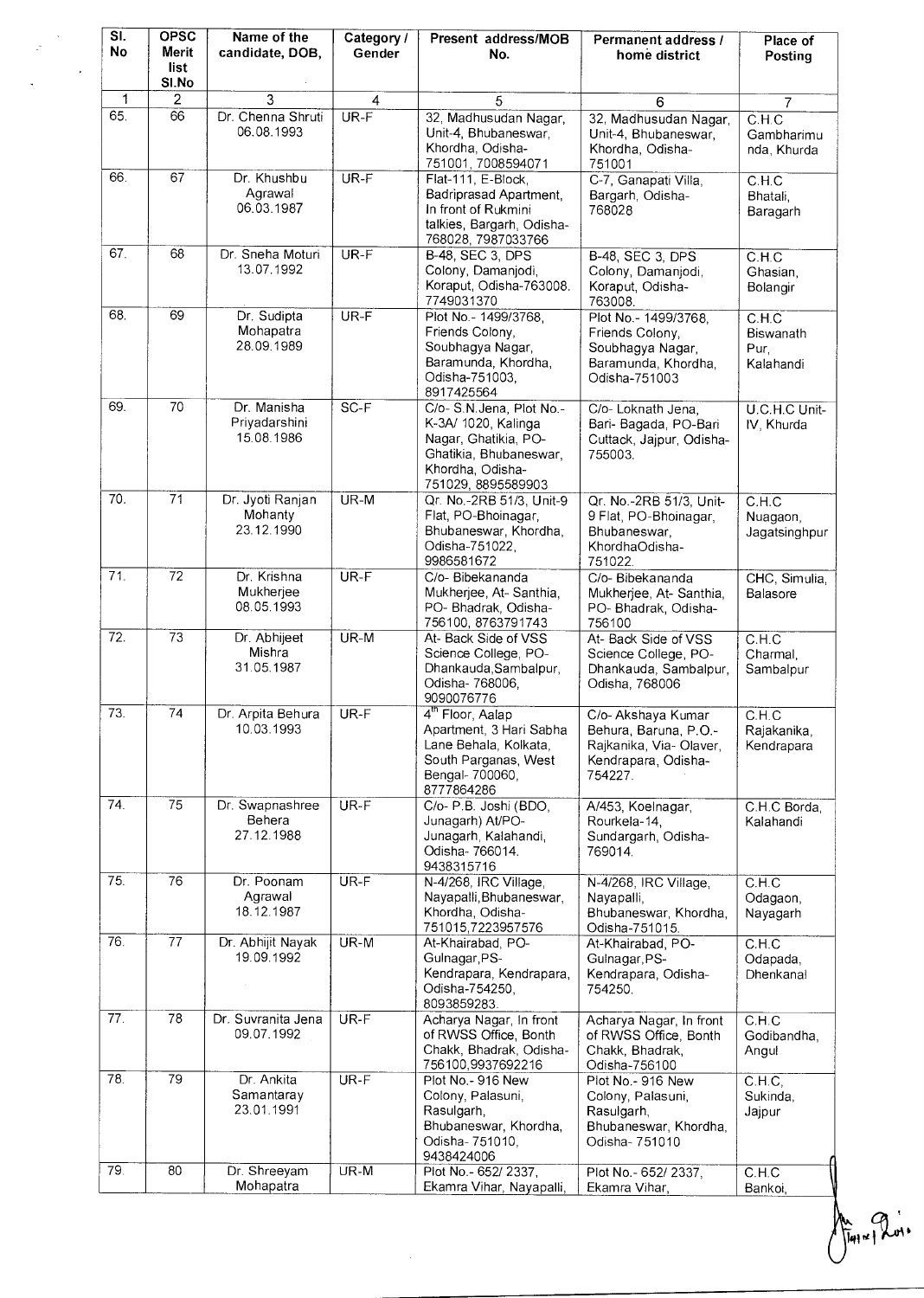| SI.<br>No         | <b>OPSC</b><br>Merit<br>list | Name of the<br>candidate, DOB,             | Category /<br>Gender | Present address/MOB<br>No.                                                                                                                 | Permanent address /<br>home district                                                                     | Place of<br>Posting                     |
|-------------------|------------------------------|--------------------------------------------|----------------------|--------------------------------------------------------------------------------------------------------------------------------------------|----------------------------------------------------------------------------------------------------------|-----------------------------------------|
|                   | SI.No                        |                                            |                      |                                                                                                                                            |                                                                                                          |                                         |
| 1<br>65.          | 2<br>66                      | 3<br>Dr. Chenna Shruti<br>06.08.1993       | 4<br>UR-F            | 5<br>32, Madhusudan Nagar,<br>Unit-4, Bhubaneswar,<br>Khordha, Odisha-<br>751001, 7008594071                                               | 6<br>32, Madhusudan Nagar,<br>Unit-4, Bhubaneswar,<br>Khordha, Odisha-<br>751001                         | 7<br>C.H.C<br>Gambharimu<br>nda, Khurda |
| 66.               | 67                           | Dr. Khushbu<br>Agrawal<br>06.03.1987       | $UR-F$               | Flat-111, E-Block,<br>Badriprasad Apartment,<br>In front of Rukmini<br>talkies, Bargarh, Odisha-<br>768028, 7987033766                     | C-7, Ganapati Villa,<br>Bargarh, Odisha-<br>768028                                                       | C.H.C<br>Bhatali,<br>Baragarh           |
| 67.               | 68                           | Dr. Sneha Moturi<br>13.07.1992             | UR-F                 | <b>B-48, SEC 3, DPS</b><br>Colony, Damanjodi,<br>Koraput, Odisha-763008.<br>7749031370                                                     | B-48, SEC 3, DPS<br>Colony, Damanjodi,<br>Koraput, Odisha-<br>763008.                                    | C.H.C<br>Ghasian,<br>Bolangir           |
| 68.               | 69                           | Dr. Sudipta<br>Mohapatra<br>28.09.1989     | $UR-F$               | Plot No. - 1499/3768,<br>Friends Colony,<br>Soubhagya Nagar,<br>Baramunda, Khordha,<br>Odisha-751003,<br>8917425564                        | Plot No.- 1499/3768,<br>Friends Colony,<br>Soubhagya Nagar,<br>Baramunda, Khordha,<br>Odisha-751003      | C.H.C<br>Biswanath<br>Pur,<br>Kalahandi |
| 69.               | 70                           | Dr. Manisha<br>Priyadarshini<br>15.08.1986 | $SC-F$               | C/o-S.N.Jena, Plot No.-<br>K-3A/ 1020, Kalinga<br>Nagar, Ghatikia, PO-<br>Ghatikia, Bhubaneswar,<br>Khordha, Odisha-<br>751029, 8895589903 | C/o- Loknath Jena,<br>Bari- Bagada, PO-Bari<br>Cuttack, Jajpur, Odisha-<br>755003.                       | U.C.H.C Unit-<br>IV, Khurda             |
| 70.               | $\overline{71}$              | Dr. Jyoti Ranjan<br>Mohanty<br>23.12.1990  | UR-M                 | Qr. No.-2RB 51/3, Unit-9<br>Flat, PO-Bhoinagar,<br>Bhubaneswar, Khordha,<br>Odisha-751022,<br>9986581672                                   | Qr. No.-2RB 51/3, Unit-<br>9 Flat, PO-Bhoinagar,<br>Bhubaneswar.<br>KhordhaOdisha-<br>751022.            | C.H.C<br>Nuagaon,<br>Jagatsinghpur      |
| 71.               | $\overline{72}$              | Dr. Krishna<br>Mukherjee<br>08.05.1993     | UR-F                 | C/o- Bibekananda<br>Mukherjee, At-Santhia,<br>PO- Bhadrak, Odisha-<br>756100, 8763791743                                                   | C/o-Bibekananda<br>Mukherjee, At-Santhia,<br>PO- Bhadrak, Odisha-<br>756100                              | CHC, Simulia,<br>Balasore               |
| $\overline{72}$ . | 73                           | Dr. Abhijeet<br>Mishra<br>31.05.1987       | $UR-M$               | At- Back Side of VSS<br>Science College, PO-<br>Dhankauda, Sambalpur,<br>Odisha- 768006,<br>9090076776                                     | At- Back Side of VSS<br>Science College, PO-<br>Dhankauda, Sambalpur,<br>Odisha, 768006                  | C.H.C<br>Charmal,<br>Sambalpur          |
| 73.               | 74                           | Dr. Arpita Behura<br>10.03.1993            | UR-F                 | 4 <sup>th</sup> Floor, Aalap<br>Apartment, 3 Hari Sabha<br>Lane Behala, Kolkata,<br>South Parganas, West<br>Bengal- 700060,<br>8777864286  | C/o- Akshaya Kumar<br>Behura, Baruna, P.O.-<br>Rajkanika, Via- Olaver,<br>Kendrapara, Odisha-<br>754227. | C.H.C<br>Rajakanika,<br>Kendrapara      |
| 74.               | 75                           | Dr. Swapnashree<br>Behera<br>27.12.1988    | UR-F                 | C/o- P.B. Joshi (BDO,<br>Junagarh) At/PO-<br>Junagarh, Kalahandi,<br>Odisha-766014.<br>9438315716                                          | A/453, Koelnagar,<br>Rourkela-14,<br>Sundargarh, Odisha-<br>769014.                                      | C.H.C Borda,<br>Kalahandi               |
| 75.               | 76                           | Dr. Poonam<br>Agrawal<br>18.12.1987        | $UR-F$               | N-4/268, IRC Village,<br>Nayapalli, Bhubaneswar,<br>Khordha, Odisha-<br>751015,7223957576                                                  | N-4/268, IRC Village,<br>Nayapalli,<br>Bhubaneswar, Khordha,<br>Odisha-751015.                           | C.H.C<br>Odagaon,<br>Nayagarh           |
| 76.               | 77                           | Dr. Abhijit Nayak<br>19.09.1992            | $UR-M$               | At-Khairabad, PO-<br>Gulnagar, PS-<br>Kendrapara, Kendrapara,<br>Odisha-754250,<br>8093859283.                                             | At-Khairabad, PO-<br>Gulnagar, PS-<br>Kendrapara, Odisha-<br>754250.                                     | C.H.C<br>Odapada,<br>Dhenkanal          |
| 77.               | 78                           | Dr. Suvranita Jena<br>09.07.1992           | UR-F                 | Acharya Nagar, In front<br>of RWSS Office, Bonth<br>Chakk, Bhadrak, Odisha-<br>756100,9937692216                                           | Acharya Nagar, In front<br>of RWSS Office, Bonth<br>Chakk, Bhadrak,<br>Odisha-756100                     | C.H.C<br>Godibandha,<br>Angul           |
| 78.               | 79                           | Dr. Ankita<br>Samantaray<br>23.01.1991     | UR-F                 | Plot No. - 916 New<br>Colony, Palasuni,<br>Rasulgarh,<br>Bhubaneswar, Khordha,<br>Odisha- 751010,<br>9438424006                            | Plot No.- 916 New<br>Colony, Palasuni,<br>Rasulgarh,<br>Bhubaneswar, Khordha,<br>Odisha- 751010          | C.H.C.<br>Sukinda,<br>Jajpur            |
| 79.               | 80                           | Dr. Shreeyam<br>Mohapatra                  | $UR-M$               | Plot No.- 652/ 2337.<br>Ekamra Vihar, Nayapalli,                                                                                           | Plot No. - 652/ 2337,<br>Ekamra Vihar,                                                                   | C.H.C<br>Bankoi,                        |

flag and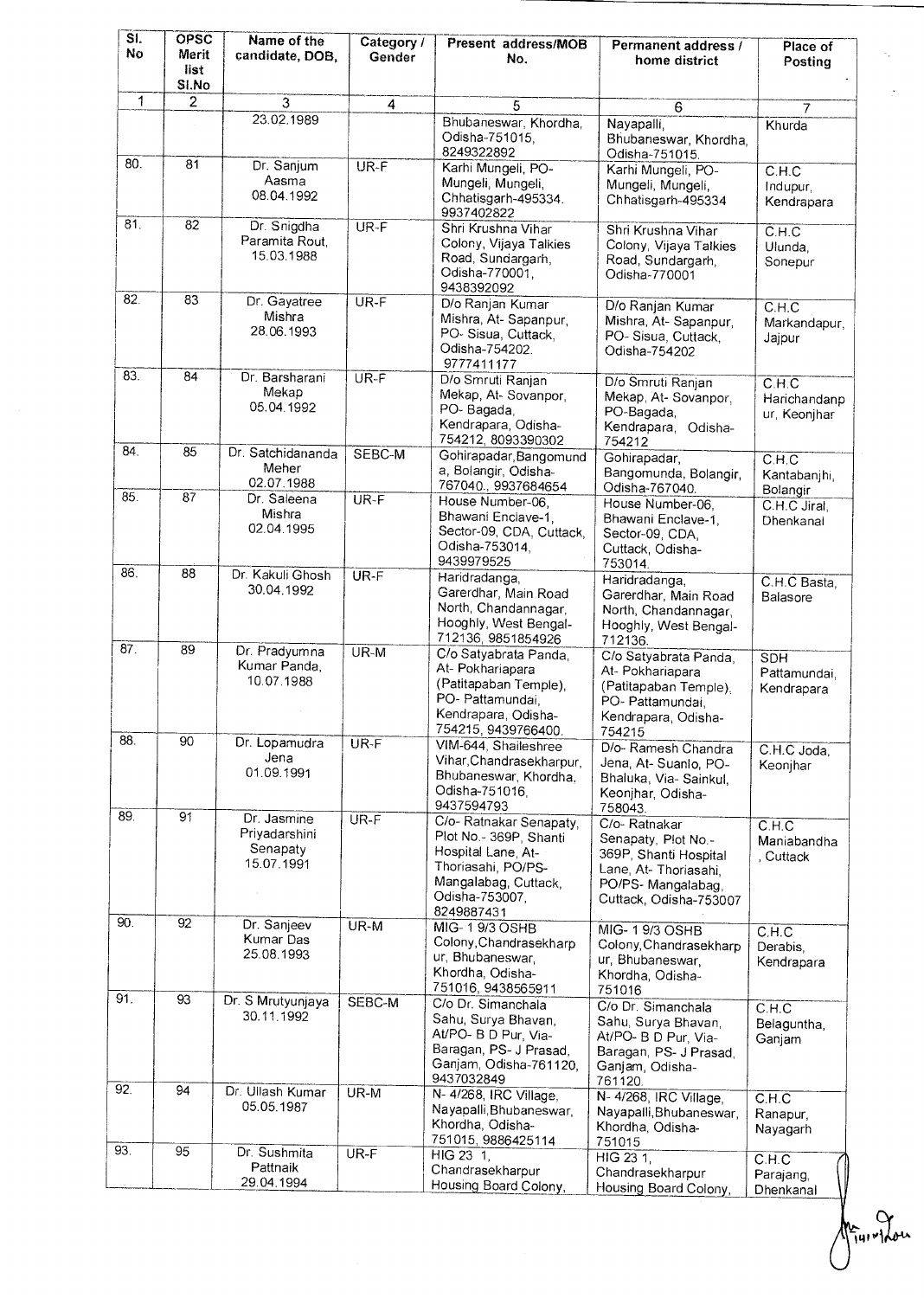| $\overline{\mathsf{SI}}$<br>Nο | <b>OPSC</b><br>Merit<br>list<br>SI.No | Name of the<br>candidate, DOB,                         | Category /<br>Gender | Present address/MOB<br>No.                                                                                                                            | Permanent address /<br>home district                                                                                                | Place of<br>Posting                            |
|--------------------------------|---------------------------------------|--------------------------------------------------------|----------------------|-------------------------------------------------------------------------------------------------------------------------------------------------------|-------------------------------------------------------------------------------------------------------------------------------------|------------------------------------------------|
| 1                              | $\overline{2}$                        | $\overline{3}$                                         | 4                    | 5                                                                                                                                                     | 6                                                                                                                                   | 7                                              |
|                                |                                       | 23.02.1989                                             |                      | Bhubaneswar, Khordha,<br>Odisha-751015.<br>8249322892                                                                                                 | Nayapalli,<br>Bhubaneswar, Khordha,<br>Odisha-751015.                                                                               | Khurda                                         |
| 80.                            | 81                                    | Dr. Sanjum<br>Aasma<br>08.04.1992                      | UR-F                 | Karhi Mungeli, PO-<br>Mungeli, Mungeli,<br>Chhatisgarh-495334.<br>9937402822                                                                          | Karhi Mungeli, PO-<br>Mungeli, Mungeli,<br>Chhatisgarh-495334                                                                       | C.H.C<br>Indupur,<br>Kendrapara                |
| 81.                            | 82                                    | Dr. Snigdha<br>Paramita Rout,<br>15.03.1988            | UR-F                 | Shri Krushna Vihar<br>Colony, Vijaya Talkies<br>Road, Sundargarh,<br>Odisha-770001,<br>9438392092                                                     | Shri Krushna Vihar<br>Colony, Vijaya Talkies<br>Road, Sundargarh,<br>Odisha-770001                                                  | C.H.C<br>Ulunda.<br>Sonepur                    |
| 82.                            | 83                                    | Dr. Gayatree<br>Mishra<br>28.06.1993                   | $UR-F$               | D/o Ranjan Kumar<br>Mishra, At-Sapanpur,<br>PO-Sisua, Cuttack,<br>Odisha-754202.<br>9777411177                                                        | D/o Ranjan Kumar<br>Mishra, At-Sapanpur,<br>PO-Sisua, Cuttack,<br>Odisha-754202                                                     | C.H.C<br>Markandapur,<br>Jajpur                |
| 83.                            | 84                                    | Dr. Barsharani<br>Mekap<br>05.04.1992                  | UR-F                 | D/o Smruti Ranjan<br>Mekap, At-Sovanpor,<br>PO-Bagada,<br>Kendrapara, Odisha-<br>754212, 8093390302                                                   | D/o Smruti Ranjan<br>Mekap, At-Sovanpor,<br>PO-Bagada,<br>Kendrapara, Odisha-<br>754212                                             | C.H.C<br>Harichandanp<br>ur, Keonjhar          |
| 84.                            | 85                                    | Dr. Satchidananda<br>Meher<br>02.07.1988               | SEBC-M               | Gohirapadar, Bangomund<br>a, Bolangir, Odisha-<br>767040., 9937684654                                                                                 | Gohirapadar,<br>Bangomunda, Bolangir,<br>Odisha-767040.                                                                             | C.H.C<br>Kantabanjhi,<br>Bolangir              |
| 85.                            | $\overline{87}$                       | Dr. Saleena<br>Mishra<br>02.04.1995                    | $UR-F$               | House Number-06,<br>Bhawani Enclave-1,<br>Sector-09, CDA, Cuttack,<br>Odisha-753014,<br>9439979525                                                    | House Number-06,<br>Bhawani Enclave-1.<br>Sector-09, CDA,<br>Cuttack, Odisha-<br>753014.                                            | C.H.C Jiral,<br>Dhenkanal                      |
| 86.                            | 88                                    | Dr. Kakuli Ghosh<br>30.04.1992                         | UR-F                 | Haridradanga,<br>Garerdhar, Main Road<br>North, Chandannagar,<br>Hooghly, West Bengal-<br>712136, 9851854926                                          | Haridradanga,<br>Garerdhar, Main Road<br>North, Chandannagar,<br>Hooghly, West Bengal-<br>712136.                                   | C.H.C Basta,<br>Balasore                       |
| 87.                            | 89                                    | Dr. Pradyumna<br>Kumar Panda,<br>10.07.1988            | UR-M                 | C/o Satyabrata Panda,<br>At- Pokhariapara<br>(Patitapaban Temple),<br>PO- Pattamundai,<br>Kendrapara, Odisha-<br>754215, 9439766400.                  | C/o Satyabrata Panda,<br>At- Pokhariapara<br>(Patitapaban Temple).<br>PO- Pattamundai,<br>Kendrapara, Odisha-<br>754215             | <b>SDH</b><br>Pattamundai,<br>Kendrapara       |
| 88.                            | 90                                    | Dr. Lopamudra<br>Jena<br>01.09.1991                    | UR-F                 | VIM-644, Shaileshree<br>Vihar, Chandrasekharpur,<br>Bhubaneswar, Khordha,<br>Odisha-751016,<br>9437594793                                             | D/o- Ramesh Chandra<br>Jena, At-Suanlo, PO-<br>Bhaluka, Via-Sainkul,<br>Keonjhar, Odisha-<br>758043.                                | C.H.C Joda,<br>Keonjhar                        |
| 89.<br>90.                     | $\overline{91}$<br>92                 | Dr. Jasmine<br>Priyadarshini<br>Senapaty<br>15.07.1991 | $UR-F$               | C/o- Ratnakar Senapaty,<br>Plot No.- 369P, Shanti<br>Hospital Lane, At-<br>Thoriasahi, PO/PS-<br>Mangalabag, Cuttack,<br>Odisha-753007.<br>8249887431 | C/o-Ratnakar<br>Senapaty, Plot No.-<br>369P, Shanti Hospital<br>Lane, At-Thoriasahi,<br>PO/PS-Mangalabag,<br>Cuttack, Odisha-753007 | $\overline{C.H.C}$<br>Maniabandha<br>, Cuttack |
|                                |                                       | Dr. Sanjeev<br>Kumar Das<br>25.08.1993                 | $UR-M$               | MIG-19/3 OSHB<br>Colony, Chandrasekharp<br>ur, Bhubaneswar,<br>Khordha, Odisha-<br>751016, 9438565911                                                 | MIG- 19/3 OSHB<br>Colony, Chandrasekharp<br>ur, Bhubaneswar,<br>Khordha, Odisha-<br>751016                                          | C.H.C<br>Derabis.<br>Kendrapara                |
| 91.                            | 93                                    | Dr. S Mrutyunjaya<br>30.11.1992                        | SEBC-M               | C/o Dr. Simanchala<br>Sahu, Surya Bhavan,<br>At/PO- B D Pur, Via-<br>Baragan, PS- J Prasad,<br>Ganjam, Odisha-761120,<br>9437032849                   | C/o Dr. Simanchala<br>Sahu, Surya Bhavan,<br>At/PO- B D Pur, Via-<br>Baragan, PS- J Prasad,<br>Ganjam, Odisha-<br>761120.           | C.H.C<br>Belaguntha,<br>Ganjam                 |
| 92.                            | 94                                    | Dr. Ullash Kumar<br>05.05.1987                         | UR-M                 | N- 4/268, IRC Village,<br>Nayapalli Bhubaneswar,<br>Khordha, Odisha-<br>751015, 9886425114                                                            | N- 4/268, IRC Village,<br>Nayapalli, Bhubaneswar,<br>Khordha, Odisha-<br>751015                                                     | C.H.C<br>Ranapur,<br>Nayagarh                  |
| 93.                            | 95                                    | Dr. Sushmita<br>Pattnaik<br>29.04.1994                 | UR-F                 | $HIG$ 23 1.<br>Chandrasekharpur<br>Housing Board Colony,                                                                                              | HIG 23 1.<br>Chandrasekharpur<br>Housing Board Colony,                                                                              | C.H.C<br>Parajang,<br>Dhenkanal                |

 $A_{\tilde{1}u}$ ,  $\gamma_{\text{tot}}$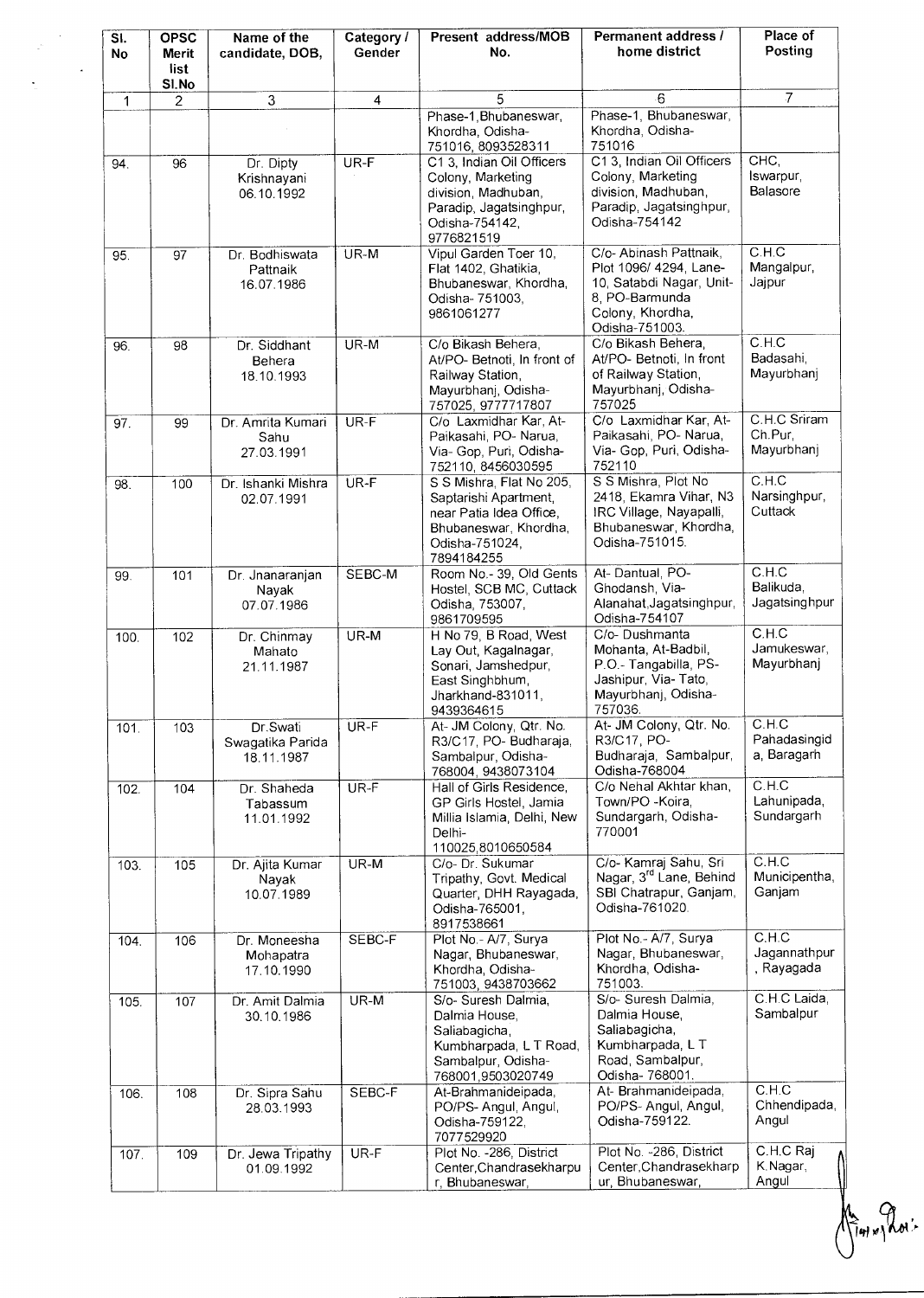| SI.<br><b>No</b> | <b>OPSC</b><br><b>Merit</b><br>list<br>SI.No | Name of the<br>candidate, DOB,             | Category /<br>Gender    | Present address/MOB<br>No.                                                                                                            | Permanent address /<br>home district                                                                                                 | Place of<br>Posting                   |
|------------------|----------------------------------------------|--------------------------------------------|-------------------------|---------------------------------------------------------------------------------------------------------------------------------------|--------------------------------------------------------------------------------------------------------------------------------------|---------------------------------------|
| 1                | 2                                            | $\overline{3}$                             | $\overline{\mathbf{4}}$ | 5                                                                                                                                     | $-6$                                                                                                                                 | $\overline{7}$                        |
|                  |                                              |                                            |                         | Phase-1, Bhubaneswar,<br>Khordha, Odisha-<br>751016, 8093528311                                                                       | Phase-1, Bhubaneswar,<br>Khordha, Odisha-<br>751016                                                                                  |                                       |
| 94.              | 96                                           | Dr. Dipty<br>Krishnayani<br>06.10.1992     | UR-F                    | C1 3, Indian Oil Officers<br>Colony, Marketing<br>division, Madhuban,<br>Paradip, Jagatsinghpur,<br>Odisha-754142.<br>9776821519      | C1 3, Indian Oil Officers<br>Colony, Marketing<br>division, Madhuban,<br>Paradip, Jagatsinghpur,<br>Odisha-754142                    | CHC,<br>Iswarpur,<br>Balasore         |
| 95.              | 97                                           | Dr. Bodhiswata<br>Pattnaik<br>16.07.1986   | $UR-M$                  | Vipul Garden Toer 10,<br>Flat 1402, Ghatikia,<br>Bhubaneswar, Khordha,<br>Odisha- 751003,<br>9861061277                               | C/o- Abinash Pattnaik,<br>Plot 1096/ 4294, Lane-<br>10, Satabdi Nagar, Unit-<br>8, PO-Barmunda<br>Colony, Khordha,<br>Odisha-751003. | C.H.C<br>Mangalpur,<br>Jajpur         |
| 96.              | 98                                           | Dr. Siddhant<br>Behera<br>18.10.1993       | UR-M                    | C/o Bikash Behera,<br>At/PO- Betnoti, In front of<br>Railway Station,<br>Mayurbhanj, Odisha-<br>757025, 9777717807                    | C/o Bikash Behera,<br>At/PO- Betnoti, In front<br>of Railway Station,<br>Mayurbhani, Odisha-<br>757025                               | C.H.C<br>Badasahi,<br>Mayurbhanj      |
| 97.              | 99                                           | Dr. Amrita Kumari<br>Sahu<br>27.03.1991    | $UR-F$                  | C/o Laxmidhar Kar, At-<br>Paikasahi, PO- Narua,<br>Via- Gop, Puri, Odisha-<br>752110, 8456030595                                      | C/o Laxmidhar Kar, At-<br>Paikasahi, PO- Narua,<br>Via- Gop, Puri, Odisha-<br>752110                                                 | C.H.C Sriram<br>Ch.Pur,<br>Mayurbhanj |
| 98.              | 100                                          | Dr. Ishanki Mishra<br>02.07.1991           | UR-F                    | S S Mishra, Flat No 205,<br>Saptarishi Apartment,<br>near Patia Idea Office,<br>Bhubaneswar, Khordha,<br>Odisha-751024,<br>7894184255 | S S Mishra, Plot No<br>2418, Ekamra Vihar, N3<br>IRC Village, Nayapalli,<br>Bhubaneswar, Khordha,<br>Odisha-751015.                  | C.H.C<br>Narsinghpur,<br>Cuttack      |
| 99.              | 101                                          | Dr. Jnanaranjan<br>Nayak<br>07.07.1986     | SEBC-M                  | Room No.- 39, Old Gents<br>Hostel, SCB MC, Cuttack<br>Odisha, 753007,<br>9861709595                                                   | At-Dantual, PO-<br>Ghodansh, Via-<br>Alanahat, Jagatsinghpur,<br>Odisha-754107                                                       | C.H.C<br>Balikuda,<br>Jagatsinghpur   |
| 100.             | 102                                          | Dr. Chinmay<br>Mahato<br>21.11.1987        | UR-M                    | H No 79, B Road, West<br>Lay Out, Kagalnagar,<br>Sonari, Jamshedpur,<br>East Singhbhum,<br>Jharkhand-831011,<br>9439364615            | C/o-Dushmanta<br>Mohanta, At-Badbil,<br>P.O.- Tangabilla, PS-<br>Jashipur, Via-Tato,<br>Mayurbhanj, Odisha-<br>757036.               | C.H.C<br>Jamukeswar,<br>Mayurbhanj    |
| 101.             | 103                                          | Dr.Swati<br>Swagatika Parida<br>18.11.1987 | UR-F                    | At- JM Colony, Qtr. No.<br>R3/C17, PO-Budharaja,<br>Sambalpur, Odisha-<br>768004, 9438073104                                          | At- JM Colony, Qtr. No.<br>R3/C17, PO-<br>Budharaja, Sambalpur,<br>Odisha-768004                                                     | CLH.C<br>Pahadasingid<br>a, Baragarh  |
| 102.             | 104                                          | Dr. Shaheda<br>Tabassum<br>11.01.1992      | $UR-F$                  | Hall of Girls Residence,<br>GP Girls Hostel, Jamia<br>Millia Islamia, Delhi, New<br>Delhi-<br>110025,8010650584                       | C/o Nehal Akhtar khan,<br>Town/PO - Koira,<br>Sundargarh, Odisha-<br>770001                                                          | C.H.C<br>Lahunipada,<br>Sundargarh    |
| 103.             | 105                                          | Dr. Ajita Kumar<br>Navak<br>10.07.1989     | $UR-M$                  | C/o- Dr. Sukumar<br>Tripathy, Govt. Medical<br>Quarter, DHH Rayagada,<br>Odisha-765001.<br>8917538661                                 | C/o- Kamraj Sahu, Sri<br>Nagar, 3 <sup>rd</sup> Lane, Behind<br>SBI Chatrapur, Ganjam,<br>Odisha-761020.                             | C.H.C<br>Municipentha,<br>Ganjam      |
| 104.             | 106                                          | Dr. Moneesha<br>Mohapatra<br>17.10.1990    | SEBC-F                  | Plot No. - A/7, Surya<br>Nagar, Bhubaneswar,<br>Khordha, Odisha-<br>751003, 9438703662                                                | Plot No.- A/7, Surya<br>Nagar, Bhubaneswar,<br>Khordha, Odisha-<br>751003.                                                           | C.H.C<br>Jagannathpur<br>, Rayagada   |
| 105.             | 107                                          | Dr. Amit Dalmia<br>30.10.1986              | $UR-M$                  | S/o- Suresh Dalmia.<br>Dalmia House,<br>Saliabagicha,<br>Kumbharpada, L T Road,<br>Sambalpur, Odisha-<br>768001,9503020749            | S/o- Suresh Dalmia,<br>Dalmia House,<br>Saliabagicha,<br>Kumbharpada, L T<br>Road, Sambalpur,<br>Odisha- 768001.                     | C.H.C Laida,<br>Sambalpur             |
| 106.             | 108                                          | Dr. Sipra Sahu<br>28.03.1993               | SEBC-F                  | At-Brahmanideipada,<br>PO/PS- Angul, Angul,<br>Odisha-759122,<br>7077529920                                                           | At- Brahmanideipada,<br>PO/PS- Angul, Angul,<br>Odisha-759122.                                                                       | C.H.C<br>Chhendipada,<br>Angul        |
| 107.             | 109                                          | Dr. Jewa Tripathy<br>01.09.1992            | UR-F                    | Plot No. - 286, District<br>Center, Chandrasekharpu<br>r. Bhubaneswar,                                                                | Plot No. - 286, District<br>Center, Chandrasekharp<br>ur, Bhubaneswar,                                                               | C.H.C Raj<br>K.Nagar,<br>Angul        |

te Provis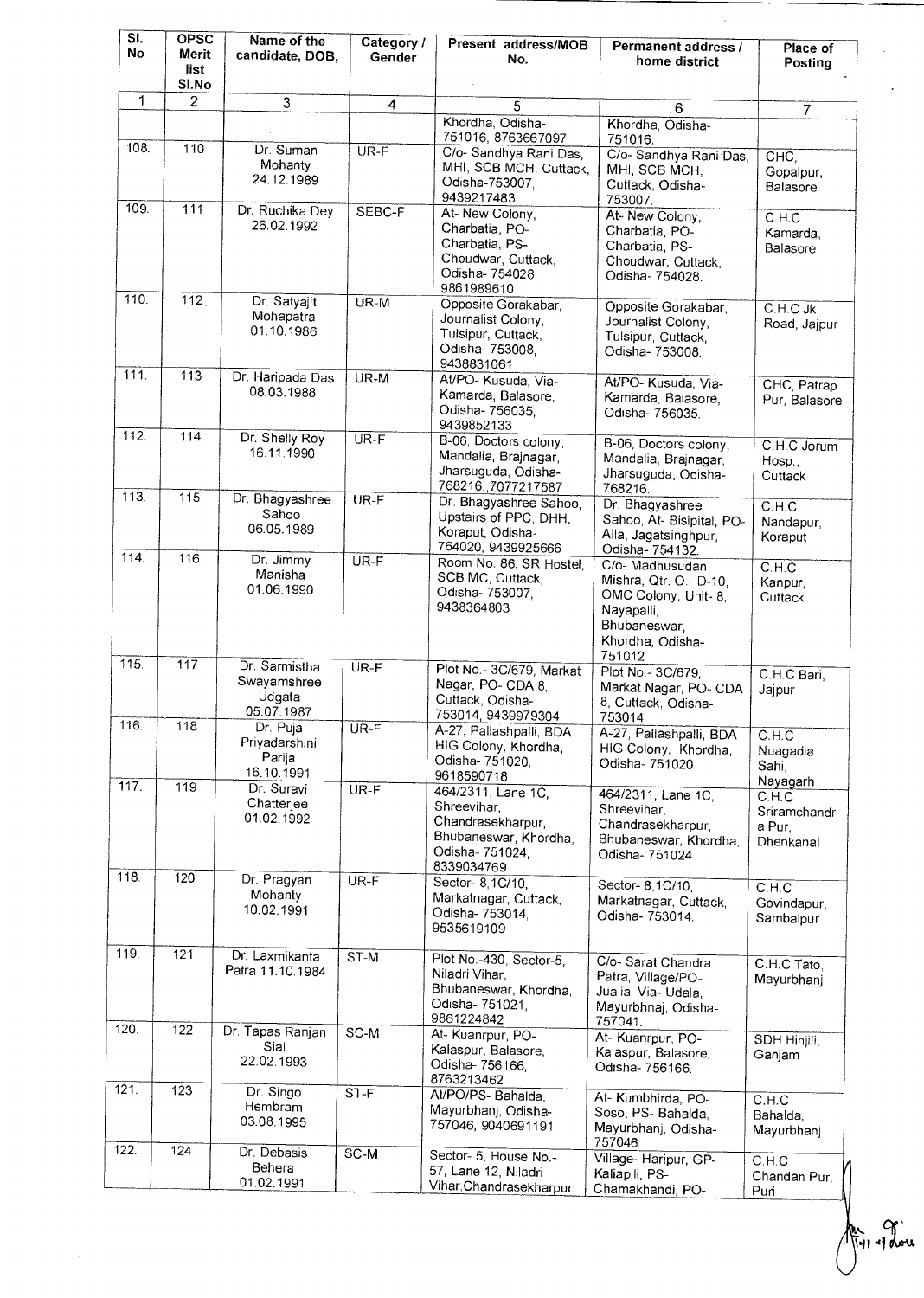| SI.<br>No          | <b>OPSC</b><br>Merit<br>list<br>SI.No | Name of the<br>candidate, DOB,                       | Category /<br>Gender | Present address/MOB<br>No.                                                                                      | Permanent address /<br>home district                                                                                          | Place of<br>Posting                                      |
|--------------------|---------------------------------------|------------------------------------------------------|----------------------|-----------------------------------------------------------------------------------------------------------------|-------------------------------------------------------------------------------------------------------------------------------|----------------------------------------------------------|
| 1                  | $\overline{2}$                        | $\overline{3}$                                       | 4                    | 5                                                                                                               | 6                                                                                                                             | 7                                                        |
|                    |                                       |                                                      |                      | Khordha, Odisha-<br>751016, 8763667097                                                                          | Khordha, Odisha-<br>751016.                                                                                                   |                                                          |
| 108.               | 110                                   | Dr. Suman<br>Mohanty<br>24.12.1989                   | UR-F                 | C/o- Sandhya Rani Das,<br>MHI, SCB MCH, Cuttack,<br>Odisha-753007,<br>9439217483                                | C/o- Sandhya Rani Das,<br>MHI, SCB MCH,<br>Cuttack, Odisha-<br>753007.                                                        | CHC,<br>Gopalpur,<br>Balasore                            |
| 109.               | 111                                   | Dr. Ruchika Dey<br>26.02.1992                        | SEBC-F               | At- New Colony,<br>Charbatia, PO-<br>Charbatia, PS-<br>Choudwar, Cuttack,<br>Odisha- 754028,<br>9861989610      | At-New Colony,<br>Charbatia, PO-<br>Charbatia, PS-<br>Choudwar, Cuttack,<br>Odisha- 754028.                                   | C.H.C<br>Kamarda,<br>Balasore                            |
| 110.               | 112                                   | Dr. Satyajit<br>Mohapatra<br>01.10.1986              | $UR-M$               | Opposite Gorakabar,<br>Journalist Colony,<br>Tulsipur, Cuttack,<br>Odisha- 753008,<br>9438831061                | Opposite Gorakabar,<br>Journalist Colony,<br>Tulsipur, Cuttack,<br>Odisha- 753008.                                            | C.H.C Jk<br>Road, Jajpur                                 |
| 111.               | 113                                   | Dr. Haripada Das<br>08.03.1988                       | UR-M                 | At/PO- Kusuda, Via-<br>Kamarda, Balasore.<br>Odisha- 756035.<br>9439852133                                      | At/PO-Kusuda, Via-<br>Kamarda, Balasore,<br>Odisha- 756035.                                                                   | CHC, Patrap<br>Pur, Balasore                             |
| 112.               | 114                                   | Dr. Shelly Roy<br>16.11.1990                         | $UR-F$               | B-06, Doctors colony,<br>Mandalia, Brajnagar,<br>Jharsuguda, Odisha-<br>768216., 7077217587                     | B-06, Doctors colony,<br>Mandalia, Brajnagar,<br>Jharsuguda, Odisha-<br>768216.                                               | C.H.C.Jorum<br>Hosp.,<br>Cuttack                         |
| 113.               | 115                                   | Dr. Bhagyashree<br>Sahoo<br>06.05.1989               | $UR-F$               | Dr. Bhagyashree Sahoo,<br>Upstairs of PPC, DHH,<br>Koraput, Odisha-<br>764020, 9439925666                       | Dr. Bhagyashree<br>Sahoo, At- Bisipital, PO-<br>Alla, Jagatsinghpur,<br>Odisha- 754132.                                       | C.H.C<br>Nandapur,<br>Koraput                            |
| 114.               | 116                                   | Dr. Jimmy<br>Manisha<br>01.06.1990                   | $UR-F$               | Room No. 86, SR Hostel,<br>SCB MC, Cuttack,<br>Odisha- 753007,<br>9438364803                                    | C/o- Madhusudan<br>Mishra, Qtr. O.- D-10,<br>OMC Colony, Unit- 8,<br>Nayapalli,<br>Bhubaneswar,<br>Khordha, Odisha-<br>751012 | C.H.C<br>Kanpur,<br>Cuttack                              |
| 115.               | 117                                   | Dr. Sarmistha<br>Swayamshree<br>Udgata<br>05.07.1987 | $UR-F$               | Plot No. - 3C/679, Markat<br>Nagar, PO- CDA 8,<br>Cuttack, Odisha-<br>753014, 9439979304                        | Plot No. - 3C/679,<br>Markat Nagar, PO- CDA<br>8, Cuttack, Odisha-<br>753014                                                  | C.H.C Bari,<br>Jajpur                                    |
| 116.               | 118                                   | Dr. Puja<br>Priyadarshini<br>Parija<br>16.10.1991    | $UR-F$               | A-27, Pallashpalli, BDA<br>HIG Colony, Khordha,<br>Odisha- 751020,<br>9618590718                                | A-27, Pallashpalli, BDA<br>HIG Colony, Khordha,<br>Odisha- 751020                                                             | C.H.C<br>Nuagadia<br>Sahi,                               |
| 117.               | 119                                   | Dr. Suravi<br>Chatterjee<br>01.02.1992               | $UR-F$               | 464/2311, Lane 1C.<br>Shreevihar.<br>Chandrasekharpur,<br>Bhubaneswar, Khordha,<br>Odisha-751024,<br>8339034769 | 464/2311, Lane 1C,<br>Shreevihar,<br>Chandrasekharpur,<br>Bhubaneswar, Khordha,<br>Odisha- 751024                             | Nayagarh<br>C.H.C<br>Sriramchandr<br>a Pur,<br>Dhenkanal |
| 118.               | 120                                   | Dr. Pragyan<br>Mohanty<br>10.02.1991                 | UR-F                 | Sector- 8, 1C/10,<br>Markatnagar, Cuttack.<br>Odisha- 753014,<br>9535619109                                     | Sector-8,1C/10,<br>Markatnagar, Cuttack,<br>Odisha- 753014.                                                                   | C.H.C<br>Govindapur,<br>Sambalpur                        |
| 119.               | 121                                   | Dr. Laxmikanta<br>Patra 11.10.1984                   | ST-M                 | Plot No.-430, Sector-5,<br>Niladri Vihar.<br>Bhubaneswar, Khordha,<br>Odisha- 751021,<br>9861224842             | C/o-Sarat Chandra<br>Patra, Village/PO-<br>Jualia, Via- Udala,<br>Mayurbhnaj, Odisha-<br>757041.                              | C.H.C Tato,<br>Mayurbhanj                                |
| 120.               | 122                                   | Dr. Tapas Ranjan<br>Sial<br>22.02.1993               | $SC-M$               | At- Kuanrpur, PO-<br>Kalaspur, Balasore,<br>Odisha- 756166.<br>8763213462                                       | At- Kuanrpur, PO-<br>Kalaspur, Balasore,<br>Odisha- 756166.                                                                   | SDH Hinjili,<br>Ganjam                                   |
| $\overline{121}$ . | 123                                   | Dr. Singo<br>Hembram<br>03.08.1995                   | ST-F                 | At/PO/PS- Bahalda,<br>Mayurbhanj, Odisha-<br>757046, 9040691191                                                 | At- Kumbhirda, PO-<br>Soso, PS- Bahalda,<br>Mayurbhanj, Odisha-<br>757046.                                                    | C.H.C<br>Bahalda,<br>Mayurbhanj                          |
| 122.               | 124                                   | Dr. Debasis<br>Behera<br>01.02.1991                  | $S$ C-M              | Sector- 5, House No.-<br>57, Lane 12, Niladri<br>Vihar, Chandrasekharpur,                                       | Village- Haripur, GP-<br>Kaliaplli, PS-<br>Chamakhandi, PO-                                                                   | C.H.C<br>Chandan Pur,<br>Puri                            |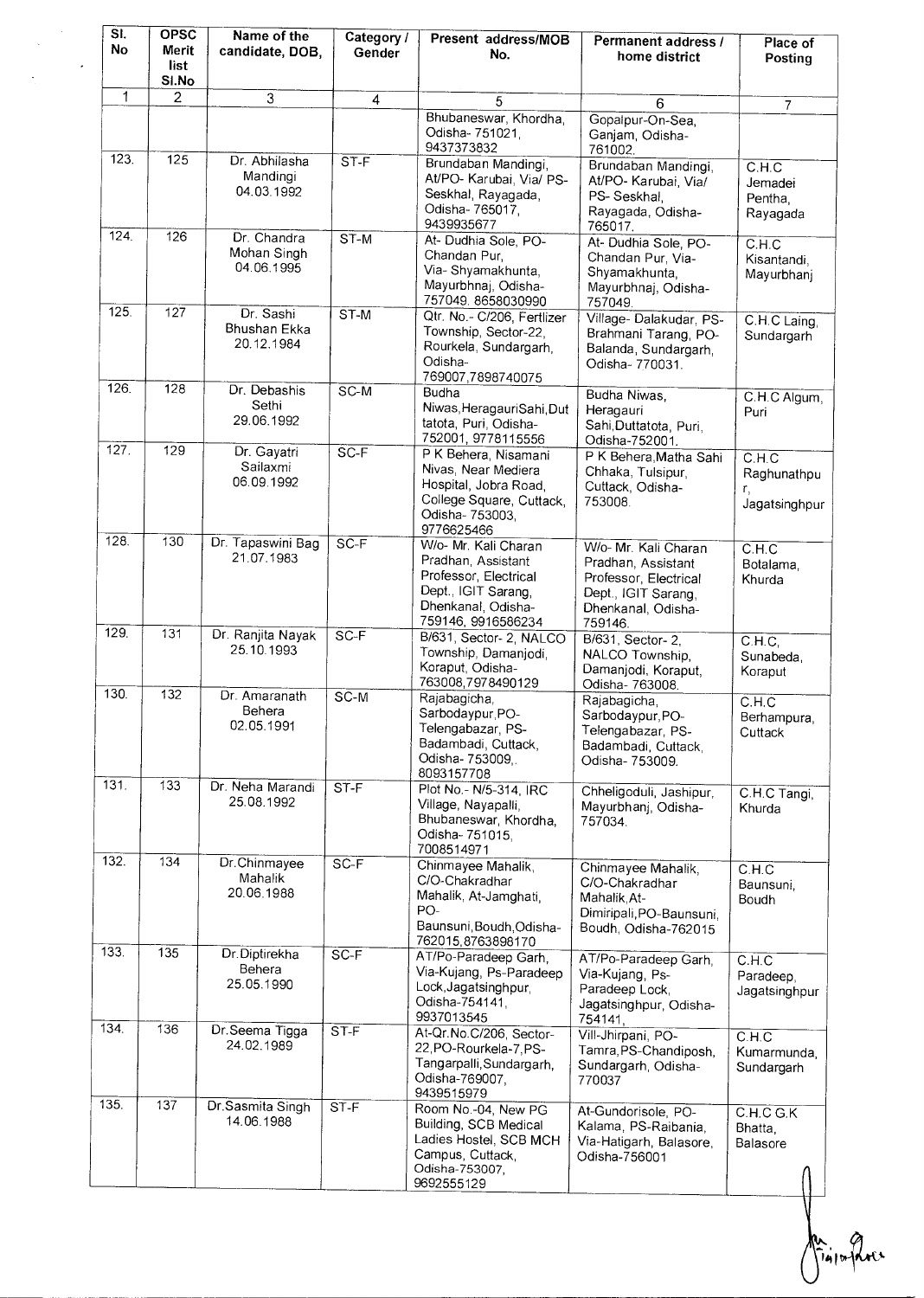| SI.<br><b>No</b> | <b>OPSC</b><br>Merit<br>list<br>SI.No | Name of the<br>candidate, DOB,           | Category /<br>Gender | Present address/MOB<br>No.                                                                                                             | Permanent address /<br>home district                                                                                        | Place of<br>Posting                                   |
|------------------|---------------------------------------|------------------------------------------|----------------------|----------------------------------------------------------------------------------------------------------------------------------------|-----------------------------------------------------------------------------------------------------------------------------|-------------------------------------------------------|
| 1                | 2                                     | 3                                        | 4                    | 5                                                                                                                                      | 6                                                                                                                           |                                                       |
|                  |                                       |                                          |                      | Bhubaneswar, Khordha,<br>Odisha- 751021,<br>9437373832                                                                                 | Gopalpur-On-Sea<br>Ganjam, Odisha-<br>761002.                                                                               | 7                                                     |
| 123.             | 125                                   | Dr. Abhilasha<br>Mandingi<br>04.03.1992  | ST-F                 | Brundaban Mandingi,<br>At/PO- Karubai, Via/ PS-<br>Seskhal, Rayagada,<br>Odisha-765017,<br>9439935677                                  | Brundaban Mandingi,<br>At/PO- Karubai, Via/<br>PS-Seskhal,<br>Rayagada, Odisha-<br>765017.                                  | C.H.C<br>Jemadei<br>Pentha.<br>Rayagada               |
| 124.             | 126                                   | Dr. Chandra<br>Mohan Singh<br>04.06.1995 | ST-M                 | At- Dudhia Sole, PO-<br>Chandan Pur,<br>Via-Shyamakhunta,<br>Mayurbhnaj, Odisha-<br>757049.8658030990                                  | At- Dudhia Sole, PO-<br>Chandan Pur, Via-<br>Shyamakhunta,<br>Mayurbhnaj, Odisha-<br>757049.                                | C.H.C<br>Kisantandi,<br>Mayurbhanj                    |
| 125.             | 127                                   | Dr. Sashi<br>Bhushan Ekka<br>20.12.1984  | $ST-M$               | Qtr. No.- C/206, Fertlizer<br>Township, Sector-22,<br>Rourkela, Sundargarh,<br>Odisha-<br>769007,7898740075                            | Village-Dalakudar, PS-<br>Brahmani Tarang, PO-<br>Balanda, Sundargarh,<br>Odisha- 770031.                                   | C.H.C Laing,<br>Sundargarh                            |
| 126.             | 128                                   | Dr. Debashis<br>Sethi<br>29.06.1992      | $SC-M$               | Budha<br>Niwas, HeragauriSahi, Dut<br>tatota, Puri, Odisha-<br>752001, 9778115556                                                      | Budha Niwas,<br>Heragauri<br>Sahi, Duttatota, Puri,<br>Odisha-752001.                                                       | C.H.C Algum,<br>Puri                                  |
| 127.             | 129                                   | Dr. Gayatri<br>Sailaxmi<br>06.09.1992    | $SC-F$               | P K Behera, Nisamani<br>Nivas, Near Mediera<br>Hospital, Jobra Road,<br>College Square, Cuttack,<br>Odisha- 753003,<br>9776625466      | P K Behera, Matha Sahi<br>Chhaka, Tulsipur,<br>Cuttack, Odisha-<br>753008.                                                  | CH <sub>C</sub><br>Raghunathpu<br>r.<br>Jagatsinghpur |
| 128.             | 130                                   | Dr. Tapaswini Bag<br>21.07.1983          | $SC-F$               | W/o- Mr. Kali Charan<br>Pradhan, Assistant<br>Professor, Electrical<br>Dept., IGIT Sarang,<br>Dhenkanal, Odisha-<br>759146, 9916586234 | W/o- Mr. Kali Charan<br>Pradhan, Assistant<br>Professor, Electrical<br>Dept., IGIT Sarang,<br>Dhenkanal, Odisha-<br>759146. | C.H.C<br>Botalama,<br>Khurda                          |
| 129.             | 131                                   | Dr. Ranjita Nayak<br>25.10.1993          | $SC-F$               | B/631, Sector- 2, NALCO<br>Township, Damanjodi,<br>Koraput, Odisha-<br>763008,7978490129                                               | B/631, Sector-2,<br>NALCO Township,<br>Damanjodi, Koraput,<br>Odisha- 763008.                                               | CH.C.<br>Sunabeda,<br>Koraput                         |
| 130.             | 132                                   | Dr. Amaranath<br>Behera<br>02.05.1991    | $SC-M$               | Rajabagicha,<br>Sarbodaypur, PO-<br>Telengabazar, PS-<br>Badambadi, Cuttack,<br>Odisha- 753009.<br>8093157708                          | Rajabagicha,<br>Sarbodaypur, PO-<br>Telengabazar, PS-<br>Badambadi, Cuttack.<br>Odisha- 753009.                             | C.H.C<br>Berhampura.<br>Cuttack                       |
| 131.             | 133                                   | Dr. Neha Marandi<br>25.08.1992           | ST-F                 | Plot No. - N/5-314, IRC<br>Village, Nayapalli,<br>Bhubaneswar, Khordha,<br>Odisha-751015,<br>7008514971                                | Chheligoduli, Jashipur,<br>Mayurbhanj, Odisha-<br>757034.                                                                   | C.H.C Tangi,<br>Khurda                                |
| 132.             | 134                                   | Dr.Chinmayee<br>Mahalik<br>20.06.1988    | $SC-F$               | Chinmayee Mahalik,<br>C/O-Chakradhar<br>Mahalik, At-Jamghati,<br>PO-<br>Baunsuni, Boudh, Odisha-<br>762015,8763898170                  | Chinmayee Mahalik.<br>C/O-Chakradhar<br>Mahalik, At-<br>Dimiripali, PO-Baunsuni.<br>Boudh, Odisha-762015                    | C.H.C<br>Baunsuni,<br>Boudh                           |
| 133.             | 135                                   | Dr. Diptirekha<br>Behera<br>25.05.1990   | $SC-F$               | AT/Po-Paradeep Garh,<br>Via-Kujang, Ps-Paradeep<br>Lock, Jagatsinghpur,<br>Odisha-754141.<br>9937013545                                | AT/Po-Paradeep Garh.<br>Via-Kujang, Ps-<br>Paradeep Lock,<br>Jagatsinghpur, Odisha-<br>754141,                              | C.H.C<br>Paradeep,<br>Jagatsinghpur                   |
| 134.             | 136                                   | Dr. Seema Tigga<br>24.02.1989            | $ST-F$               | At-Qr.No.C/206, Sector-<br>22, PO-Rourkela-7, PS-<br>Tangarpalli, Sundargarh,<br>Odisha-769007,<br>9439515979                          | Vill-Jhirpani, PO-<br>Tamra, PS-Chandiposh,<br>Sundargarh, Odisha-<br>770037                                                | C.H.C<br>Kumarmunda,<br>Sundargarh                    |
| 135.             | 137                                   | Dr.Sasmita Singh<br>14.06.1988           | $ST-F$               | Room No.-04, New PG<br>Building, SCB Medical<br>Ladies Hostel, SCB MCH<br>Campus, Cuttack,<br>Odisha-753007,<br>9692555129             | At-Gundorisole, PO-<br>Kalama, PS-Raibania,<br>Via-Hatigarh, Balasore,<br>Odisha-756001                                     | C.H.C G.K<br>Bhatta,<br>Balasore                      |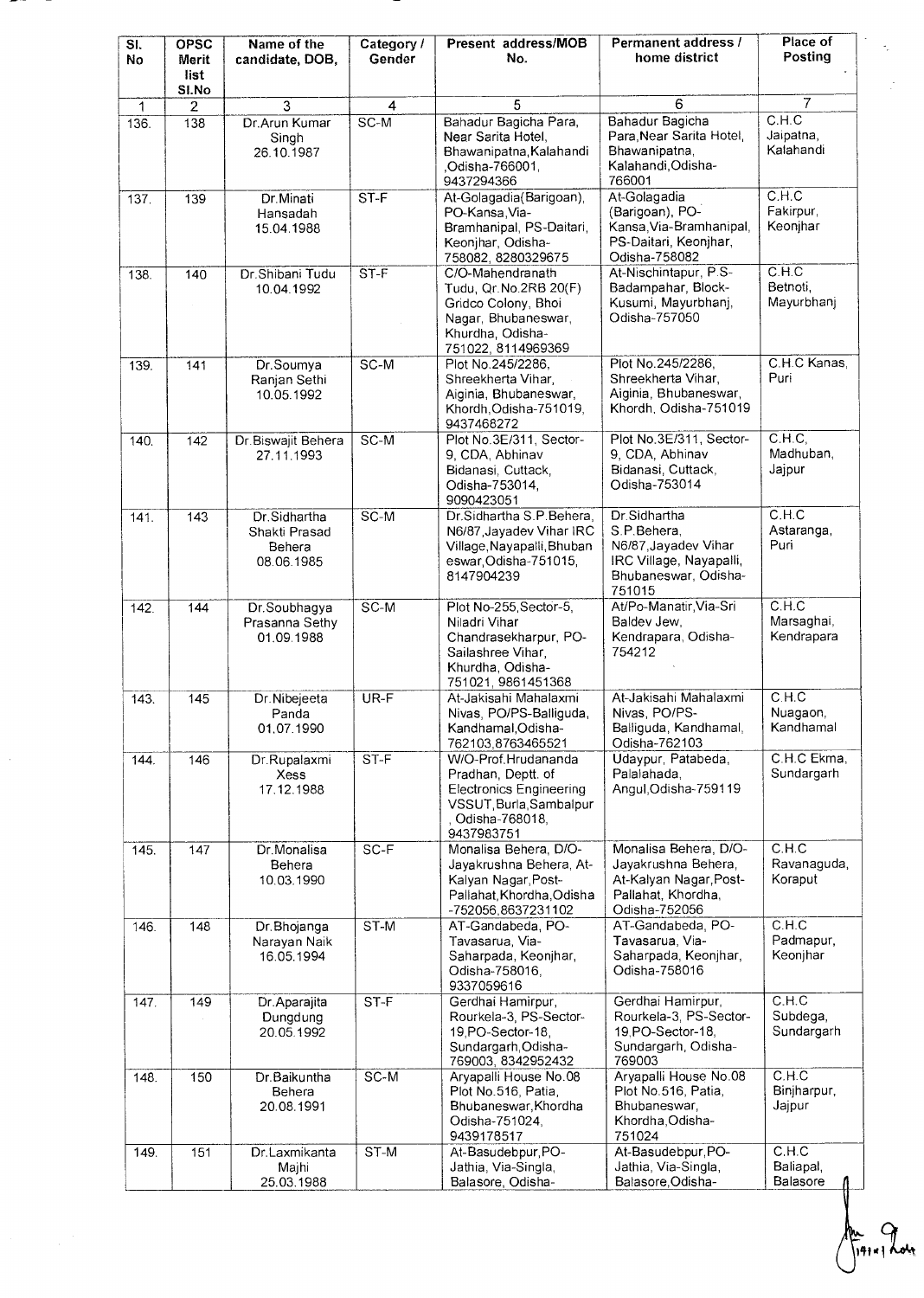| ŝС | Name of the | Category /   Present address/MOB | Perm |
|----|-------------|----------------------------------|------|

 $-$ 

 $\mathcal{L}_{\mathcal{A}}$ 

| SI.<br>No | <b>OPSC</b><br>Merit<br>list<br>SI.No | Name of the<br>candidate, DOB,                        | Category /<br>Gender | Present address/MOB<br>No.                                                                                                             | Permanent address /<br>home district                                                                             | Place of<br>Posting                        |
|-----------|---------------------------------------|-------------------------------------------------------|----------------------|----------------------------------------------------------------------------------------------------------------------------------------|------------------------------------------------------------------------------------------------------------------|--------------------------------------------|
| 1         | 2                                     | 3                                                     | 4                    | 5                                                                                                                                      | 6                                                                                                                | $\overline{7}$                             |
| 136.      | 138                                   | Dr.Arun Kumar<br>Singh<br>26.10.1987                  | $SC-M$               | Bahadur Bagicha Para,<br>Near Sarita Hotel,<br>Bhawanipatna, Kalahandi<br>,Odisha-766001,<br>9437294366                                | Bahadur Bagicha<br>Para Near Sarita Hotel<br>Bhawanipatna,<br>Kalahandi, Odisha-<br>766001                       | C.H.C<br>Jaipatna,<br>Kalahandi            |
| 137.      | 139                                   | Dr. Minati<br>Hansadah<br>15.04.1988                  | ST-F                 | At-Golagadia(Barigoan),<br>PO-Kansa, Via-<br>Bramhanipal, PS-Daitari,<br>Keonjhar, Odisha-<br>758082, 8280329675                       | At-Golagadia<br>(Barigoan), PO-<br>Kansa Via-Bramhanipal,<br>PS-Daitari, Keonjhar,<br>Odisha-758082              | C.H.C<br>Fakirpur,<br>Keonjhar             |
| 138.      | 140                                   | Dr.Shibani Tudu<br>10.04.1992                         | ST-F                 | C/O-Mahendranath<br>Tudu, Qr. No. 2RB 20(F)<br>Gridco Colony, Bhoi<br>Nagar, Bhubaneswar,<br>Khurdha, Odisha-<br>751022, 8114969369    | At-Nischintapur, P.S-<br>Badampahar, Block-<br>Kusumi, Mayurbhanj,<br>Odisha-757050                              | C.H.C<br>Betnoti,<br>Mayurbhanj            |
| 139.      | 141                                   | Dr.Soumya<br>Ranjan Sethi<br>10.05.1992               | SC-M                 | Plot No.245/2286,<br>Shreekherta Vihar,<br>Aiginia, Bhubaneswar,<br>Khordh, Odisha-751019,<br>9437468272                               | Plot No.245/2286,<br>Shreekherta Vihar,<br>Aiginia, Bhubaneswar,<br>Khordh, Odisha-751019                        | C.H.C Kanas,<br>Puri                       |
| 140.      | 142                                   | Dr.Biswajit Behera<br>27.11.1993                      | SC-M                 | Plot No.3E/311, Sector-<br>9, CDA, Abhinav<br>Bidanasi, Cuttack,<br>Odisha-753014,<br>9090423051                                       | Plot No.3E/311, Sector-<br>9, CDA, Abhinav<br>Bidanasi, Cuttack,<br>Odisha-753014                                | $\overline{C.H.C.}$<br>Madhuban,<br>Jajpur |
| 141.      | 143                                   | Dr.Sidhartha<br>Shakti Prasad<br>Behera<br>08.06.1985 | $SC-M$               | Dr.Sidhartha S.P.Behera,<br>N6/87, Jayadev Vihar IRC<br>Village, Nayapalli, Bhuban<br>eswar, Odisha-751015,<br>8147904239              | Dr.Sidhartha<br>S.P.Behera.<br>N6/87, Jayadev Vihar<br>IRC Village, Nayapalli,<br>Bhubaneswar, Odisha-<br>751015 | C.H.C<br>Astaranga,<br>Puri                |
| 142.      | 144                                   | Dr.Soubhagya<br>Prasanna Sethy<br>01.09.1988          | $SC-M$               | Plot No-255, Sector-5,<br>Niladri Vihar<br>Chandrasekharpur, PO-<br>Sailashree Vihar.<br>Khurdha, Odisha-<br>751021, 9861451368        | At/Po-Manatir, Via-Sri<br>Baldev Jew.<br>Kendrapara, Odisha-<br>754212                                           | C.H.C<br>Marsaghai,<br>Kendrapara          |
| 143.      | 145                                   | Dr.Nibejeeta<br>Panda<br>01.07.1990                   | UR-F                 | At-Jakisahi Mahalaxmi<br>Nivas, PO/PS-Balliguda,<br>Kandhamal, Odisha-<br>762103,8763465521                                            | At-Jakisahi Mahalaxmi<br>Nivas, PO/PS-<br>Balliguda, Kandhamal,<br>Odisha-762103                                 | C.H.C<br>Nuagaon,<br>Kandhamal             |
| 144.      | 146                                   | Dr.Rupalaxmi<br>Xess<br>17.12.1988                    | $ST-F$               | W/O-Prof.Hrudananda<br>Pradhan, Deptt. of<br><b>Electronics Engineering</b><br>VSSUT, Burla, Sambalpur<br>Odisha-768018,<br>9437983751 | Udaypur, Patabeda,<br>Palalahada,<br>Angul, Odisha-759119                                                        | C.H.C Ekma,<br>Sundargarh                  |
| 145.      | 147                                   | Dr.Monalisa<br>Behera<br>10.03.1990                   | $SC-F$               | Monalisa Behera, D/O-<br>Jayakrushna Behera, At-<br>Kalyan Nagar, Post-<br>Pallahat, Khordha, Odisha<br>-752056.8637231102             | Monalisa Behera, D/O-<br>Jayakrushna Behera,<br>At-Kalyan Nagar, Post-<br>Pallahat, Khordha,<br>Odisha-752056    | C.H.C<br>Ravanaguda,<br>Koraput            |
| 146.      | 148                                   | Dr.Bhojanga<br>Narayan Naik<br>16.05.1994             | $ST-M$               | AT-Gandabeda, PO-<br>Tavasarua, Via-<br>Saharpada, Keonjhar,<br>Odisha-758016,<br>9337059616                                           | AT-Gandabeda, PO-<br>Tavasarua, Via-<br>Saharpada, Keonjhar,<br>Odisha-758016                                    | C.H.C<br>Padmapur,<br>Keonihar             |
| 147.      | 149                                   | Dr.Aparajita<br>Dungdung<br>20.05.1992                | $ST-F$               | Gerdhai Hamirpur,<br>Rourkela-3, PS-Sector-<br>19, PO-Sector-18,<br>Sundargarh, Odisha-<br>769003, 8342952432                          | Gerdhai Hamirpur,<br>Rourkela-3, PS-Sector-<br>19.PO-Sector-18.<br>Sundargarh, Odisha-<br>769003                 | C.H.C<br>Subdega,<br>Sundargarh            |
| 148.      | 150                                   | Dr.Baikuntha<br>Behera<br>20.08.1991                  | SC-M                 | Aryapalli House No.08<br>Plot No.516, Patia,<br>Bhubaneswar, Khordha<br>Odisha-751024,<br>9439178517                                   | Aryapalli House No.08<br>Plot No.516, Patia,<br>Bhubaneswar,<br>Khordha, Odisha-<br>751024                       | C.H.C<br>Binjharpur,<br>Jajpur             |
| 149.      | 151                                   | Dr.Laxmikanta<br>Majhi<br>25.03.1988                  | ST-M                 | At-Basudebpur, PO-<br>Jathia, Via-Singla,<br>Balasore, Odisha-                                                                         | At-Basudebpur, PO-<br>Jathia, Via-Singla,<br>Balasore, Odisha-                                                   | C.H.C<br>Baliapal,<br>Balasore             |

L.

Î,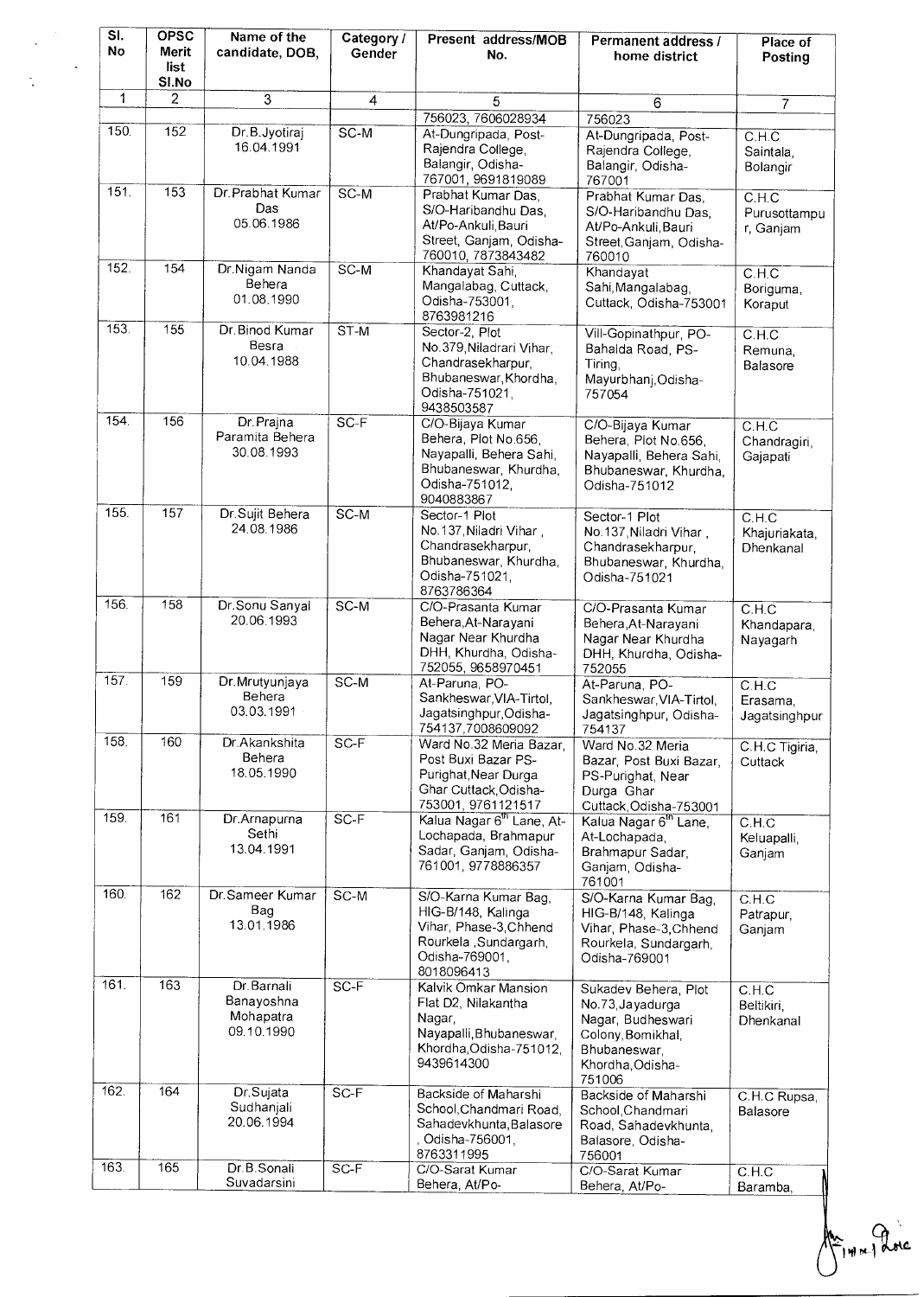|  | SI.<br>No | <b>OPSC</b><br>Merit<br>list<br>SI.No | Name of the<br>candidate, DOB,                       | Category /<br>Gender | Present address/MOB<br>No.                                                                                                    | Permanent address /<br>home district                                                                                             | Place of<br>Posting                 |
|--|-----------|---------------------------------------|------------------------------------------------------|----------------------|-------------------------------------------------------------------------------------------------------------------------------|----------------------------------------------------------------------------------------------------------------------------------|-------------------------------------|
|  | 1         | $\overline{2}$                        | 3                                                    | 4                    | 5                                                                                                                             | 6                                                                                                                                | $\overline{7}$                      |
|  | 150.      | 152                                   | Dr.B.Jyotiraj<br>16.04.1991                          | $SC-M$               | 756023, 7606028934<br>At-Dungripada, Post-<br>Rajendra College,<br>Balangir, Odisha-<br>767001, 9691819089                    | 756023<br>At-Dungripada, Post-<br>Rajendra College,<br>Balangir, Odisha-<br>767001                                               | C.H.C<br>Saintala,<br>Bolangir      |
|  | 151.      | 153                                   | Dr. Prabhat Kumar<br>Das<br>05.06.1986               | $SC-M$               | Prabhat Kumar Das.<br>S/O-Haribandhu Das,<br>At/Po-Ankuli, Bauri<br>Street, Ganjam, Odisha-<br>760010, 7873843482             | Prabhat Kumar Das<br>S/O-Haribandhu Das,<br>At/Po-Ankuli, Bauri<br>Street, Ganjam, Odisha-<br>760010                             | C.H.C<br>Purusottampu<br>r, Ganjam  |
|  | 152.      | 154                                   | Dr.Nigam Nanda<br>Behera<br>01.08.1990               | $SC-M$               | Khandayat Sahi,<br>Mangalabag, Cuttack,<br>Odisha-753001,<br>8763981216                                                       | Khandayat<br>Sahi, Mangalabag,<br>Cuttack, Odisha-753001                                                                         | C.H.C<br>Boriguma,<br>Koraput       |
|  | 153.      | 155                                   | Dr. Binod Kumar<br>Besra<br>10.04.1988               | $ST-M$               | Sector-2, Plot<br>No.379, Niladrari Vihar,<br>Chandrasekharpur,<br>Bhubaneswar, Khordha,<br>Odisha-751021.<br>9438503587      | Vill-Gopinathpur, PO-<br>Bahalda Road, PS-<br>Tiring,<br>Mayurbhanj, Odisha-<br>757054                                           | C.H.C<br>Remuna,<br>Balasore        |
|  | 154.      | 156                                   | Dr. Prajna<br>Paramita Behera<br>30.08.1993          | $SC-F$               | C/O-Bijaya Kumar<br>Behera, Plot No.656,<br>Nayapalli, Behera Sahi,<br>Bhubaneswar, Khurdha,<br>Odisha-751012,<br>9040883867  | C/O-Bijaya Kumar<br>Behera, Plot No.656,<br>Nayapalli, Behera Sahi,<br>Bhubaneswar, Khurdha,<br>Odisha-751012                    | C.H.C<br>Chandragiri,<br>Gajapati   |
|  | 155.      | $\frac{157}{157}$                     | Dr. Sujit Behera<br>24.08.1986                       | $SC-M$               | Sector-1 Plot<br>No.137, Niladri Vihar,<br>Chandrasekharpur,<br>Bhubaneswar, Khurdha,<br>Odisha-751021.<br>8763786364         | Sector-1 Plot<br>No.137, Niladri Vihar,<br>Chandrasekharpur,<br>Bhubaneswar, Khurdha,<br>Odisha-751021                           | C.H.C<br>Khajuriakata,<br>Dhenkanal |
|  | 156.      | 158                                   | Dr.Sonu Sanyal<br>20.06.1993                         | $SC-M$               | C/O-Prasanta Kumar<br>Behera, At-Narayani<br>Nagar Near Khurdha<br>DHH, Khurdha, Odisha-<br>752055, 9658970451                | C/O-Prasanta Kumar<br>Behera, At-Narayani<br>Nagar Near Khurdha<br>DHH, Khurdha, Odisha-<br>752055                               | C.H.C<br>Khandapara,<br>Nayagarh    |
|  | 157.      | 159                                   | Dr.Mrutyunjaya<br>Behera<br>03.03.1991               | $SC-M$               | At-Paruna, PO-<br>Sankheswar, VIA-Tirtol,<br>Jagatsinghpur, Odisha-<br>754137,7008609092                                      | At-Paruna, PO-<br>Sankheswar, VIA-Tirtol,<br>Jagatsinghpur, Odisha-<br>754137                                                    | C.H.C<br>Erasama.<br>Jagatsinghpur  |
|  | 158.      | 160                                   | Dr.Akankshita<br>Behera<br>18.05.1990                | $SC-F$               | Ward No.32 Meria Bazar,<br>Post Buxi Bazar PS-<br>Purighat, Near Durga<br>Ghar Cuttack, Odisha-<br>753001, 9761121517         | Ward No. 32 Meria<br>Bazar, Post Buxi Bazar,<br>PS-Purighat, Near<br>Durga Ghar<br>Cuttack, Odisha-753001                        | C.H.C Tigiria,<br>Cuttack           |
|  | 159.      | 161                                   | Dr.Arnapurna<br>Sethi<br>13.04.1991                  | $SC-F$               | Kalua Nagar 6 <sup>th</sup> Lane, At-<br>Lochapada, Brahmapur<br>Sadar, Ganjam, Odisha-<br>761001, 9778886357                 | Kalua Nagar 6 <sup>th</sup> Lane,<br>At-Lochapada,<br>Brahmapur Sadar,<br>Ganjam, Odisha-<br>761001                              | C.H.C<br>Keluapalli,<br>Ganjam      |
|  | 160.      | $\overline{162}$                      | Dr.Sameer Kumar<br>Bag<br>13.01.1986                 | $SC-M$               | S/O-Karna Kumar Bag,<br>HIG-B/148, Kalinga<br>Vihar, Phase-3, Chhend<br>Rourkela, Sundargarh,<br>Odisha-769001,<br>8018096413 | S/O-Karna Kumar Bag,<br>HIG-B/148, Kalinga<br>Vihar, Phase-3, Chhend<br>Rourkela, Sundargarh,<br>Odisha-769001                   | C.H.C<br>Patrapur,<br>Ganjam        |
|  | 161.      | 163                                   | Dr. Barnali<br>Banayoshna<br>Mohapatra<br>09.10.1990 | $SC-F$               | Kalvik Omkar Mansion<br>Flat D2, Nilakantha<br>Nagar,<br>Nayapalli, Bhubaneswar,<br>Khordha, Odisha-751012,<br>9439614300     | Sukadev Behera, Plot<br>No.73, Jayadurga<br>Nagar, Budheswari<br>Colony, Bomikhal,<br>Bhubaneswar,<br>Khordha, Odisha-<br>751006 | C.H.C<br>Beltikiri,<br>Dhenkanal    |
|  | 162.      | 164                                   | Dr.Sujata<br>Sudhanjali<br>20.06.1994                | $SC-F$               | Backside of Maharshi<br>School, Chandmari Road.<br>Sahadevkhunta, Balasore<br>Odisha-756001,<br>8763311995                    | Backside of Maharshi<br>School Chandmari<br>Road, Sahadevkhunta,<br>Balasore, Odisha-<br>756001                                  | C.H.C Rupsa,<br>Balasore            |
|  | 163.      | 165                                   | Dr.B.Sonali<br>Suvadarsini                           | $SC-F$               | C/O-Sarat Kumar<br>Behera, At/Po-                                                                                             | C/O-Sarat Kumar<br>Behera, At/Po-                                                                                                | C.H.C<br>Baramba,                   |

Primariane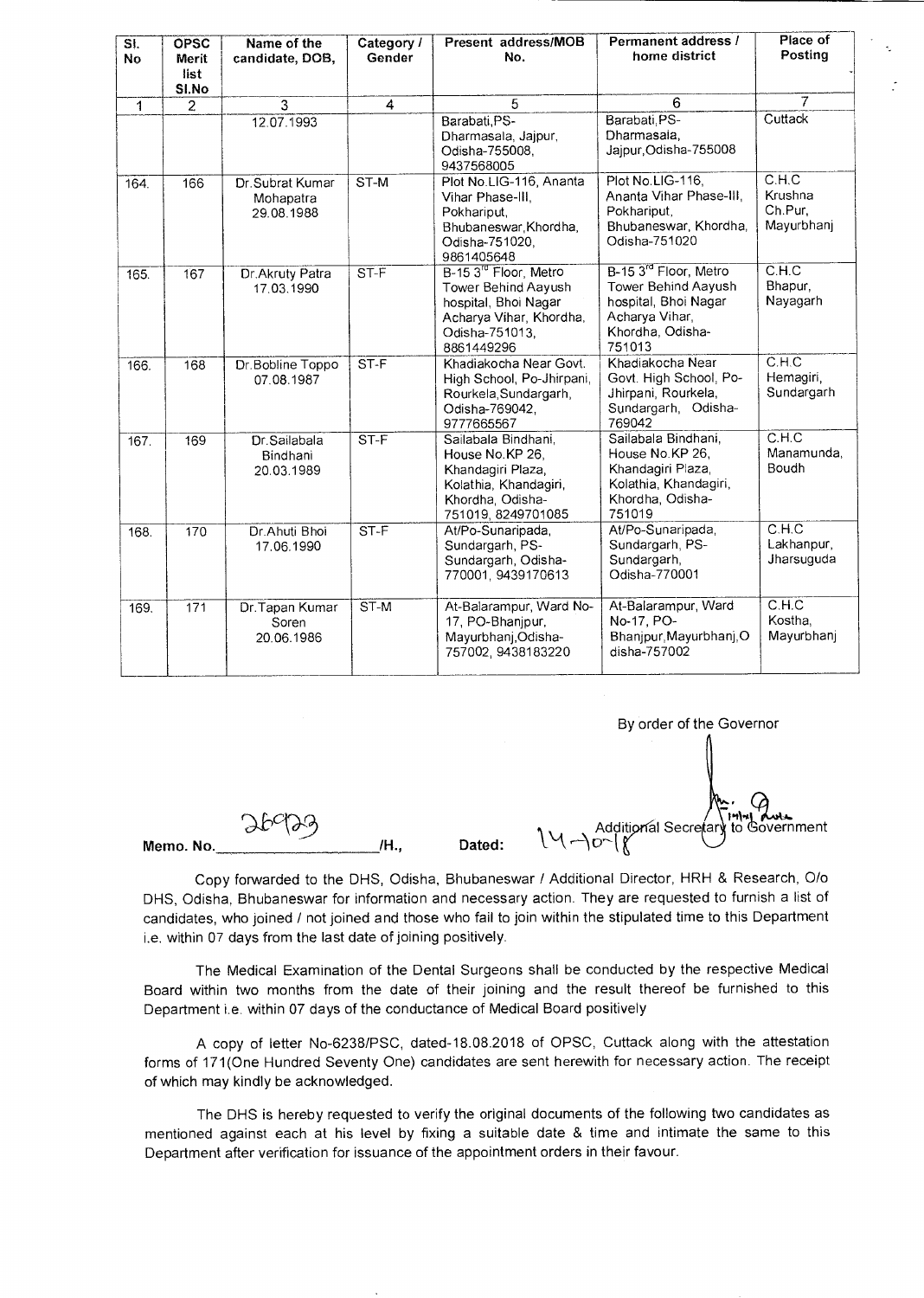| SI.<br><b>No</b> | <b>OPSC</b><br><b>Merit</b><br>list<br>SI.No | Name of the<br>candidate, DOB,              | Category /<br>Gender | Present address/MOB<br>No.                                                                                                                  | Permanent address /<br>home district                                                                                             | Place of<br>Posting                       |
|------------------|----------------------------------------------|---------------------------------------------|----------------------|---------------------------------------------------------------------------------------------------------------------------------------------|----------------------------------------------------------------------------------------------------------------------------------|-------------------------------------------|
| 1                | $\overline{2}$                               | $\overline{3}$                              | 4                    | 5                                                                                                                                           | 6                                                                                                                                | $\overline{7}$                            |
|                  |                                              | 12.07.1993                                  |                      | Barabati PS-<br>Dharmasala, Jajpur,<br>Odisha-755008,<br>9437568005                                                                         | Barabati, PS-<br>Dharmasala.<br>Jajpur, Odisha-755008                                                                            | Cuttack                                   |
| 164.             | 166                                          | Dr. Subrat Kumar<br>Mohapatra<br>29.08.1988 | ST-M                 | Plot No.LIG-116, Ananta<br>Vihar Phase-III.<br>Pokhariput,<br>Bhubaneswar, Khordha,<br>Odisha-751020,<br>9861405648                         | Plot No.LIG-116,<br>Ananta Vihar Phase-III,<br>Pokhariput.<br>Bhubaneswar, Khordha,<br>Odisha-751020                             | C.H.C<br>Krushna<br>Ch.Pur.<br>Mayurbhanj |
| 165.             | 167                                          | Dr. Akruty Patra<br>17.03.1990              | $ST-F$               | B-15 3 <sup>rd</sup> Floor, Metro<br>Tower Behind Aayush<br>hospital, Bhoi Nagar<br>Acharya Vihar, Khordha,<br>Odisha-751013,<br>8861449296 | B-15 3 <sup>rd</sup> Floor, Metro<br>Tower Behind Aayush<br>hospital, Bhoi Nagar<br>Acharya Vihar,<br>Khordha, Odisha-<br>751013 | C.H.C<br>Bhapur,<br>Nayagarh              |
| 166.             | 168                                          | Dr.Bobline Toppo<br>07.08.1987              | $ST-F$               | Khadiakocha Near Govt.<br>High School, Po-Jhirpani,<br>Rourkela, Sundargarh,<br>Odisha-769042,<br>9777665567                                | Khadiakocha Near<br>Govt. High School, Po-<br>Jhirpani, Rourkela,<br>Sundargarh, Odisha-<br>769042                               | C.H.C<br>Hemagiri,<br>Sundargarh          |
| 167.             | 169                                          | Dr.Sailabala<br>Bindhani<br>20.03.1989      | $ST-F$               | Sailabala Bindhani.<br>House No.KP 26.<br>Khandagiri Plaza,<br>Kolathia, Khandagiri,<br>Khordha, Odisha-<br>751019, 8249701085              | Sailabala Bindhani,<br>House No.KP 26.<br>Khandagiri Plaza,<br>Kolathia, Khandagiri,<br>Khordha, Odisha-<br>751019               | CH.C<br>Manamunda.<br>Boudh               |
| 168.             | 170                                          | Dr.Ahuti Bhoi<br>17.06.1990                 | $ST-F$               | At/Po-Sunaripada,<br>Sundargarh, PS-<br>Sundargarh, Odisha-<br>770001, 9439170613                                                           | At/Po-Sunaripada,<br>Sundargarh, PS-<br>Sundargarh,<br>Odisha-770001                                                             | C.H.C<br>Lakhanpur,<br>Jharsuguda         |
| 169.             | 171                                          | Dr. Tapan Kumar<br>Soren<br>20.06.1986      | ST-M                 | At-Balarampur, Ward No-<br>17, PO-Bhanjpur,<br>Mayurbhanj, Odisha-<br>757002, 9438183220                                                    | At-Balarampur, Ward<br>No-17, PO-<br>Bhanjpur, Mayurbhanj, O<br>disha-757002                                                     | C.H.C<br>Kostha,<br>Mayurbhanj            |

By order of the Governor

Memo. No.

 $\mathcal{U}$  Additional Secretary to Government  $\mathcal{U} \rightarrow \mathcal{D} \setminus \mathcal{U}$ 

Copy forwarded to the DHS, Odisha, Bhubaneswar / Additional Director, HRH & Research, 0/0 DHS, Odisha, Bhubaneswar for information and necessary action. They are requested to furnish a list of candidates, who joined / not joined and those who fail to join within the stipulated time to this Department i.e. within 07 days from the last date of joining positively.

The Medical Examination of the Dental Surgeons shall be conducted by the respective Medical Board within two months from the date of their joining and the result thereof be furnished to this Department i.e. within 07 days of the conductance of Medical Board positively

A copy of letter No-6238/PSC, dated-18.08.2018 of OPSC, Cuttack along with the attestation forms of 171(One Hundred Seventy One) candidates are sent herewith for necessary action. The receipt of which may kindly be acknowledged.

The DHS is hereby requested to verify the original documents of the following two candidates as mentioned against each at his level by fixing a suitable date & time and intimate the same to this Department after verification for issuance of the appointment orders in their favour.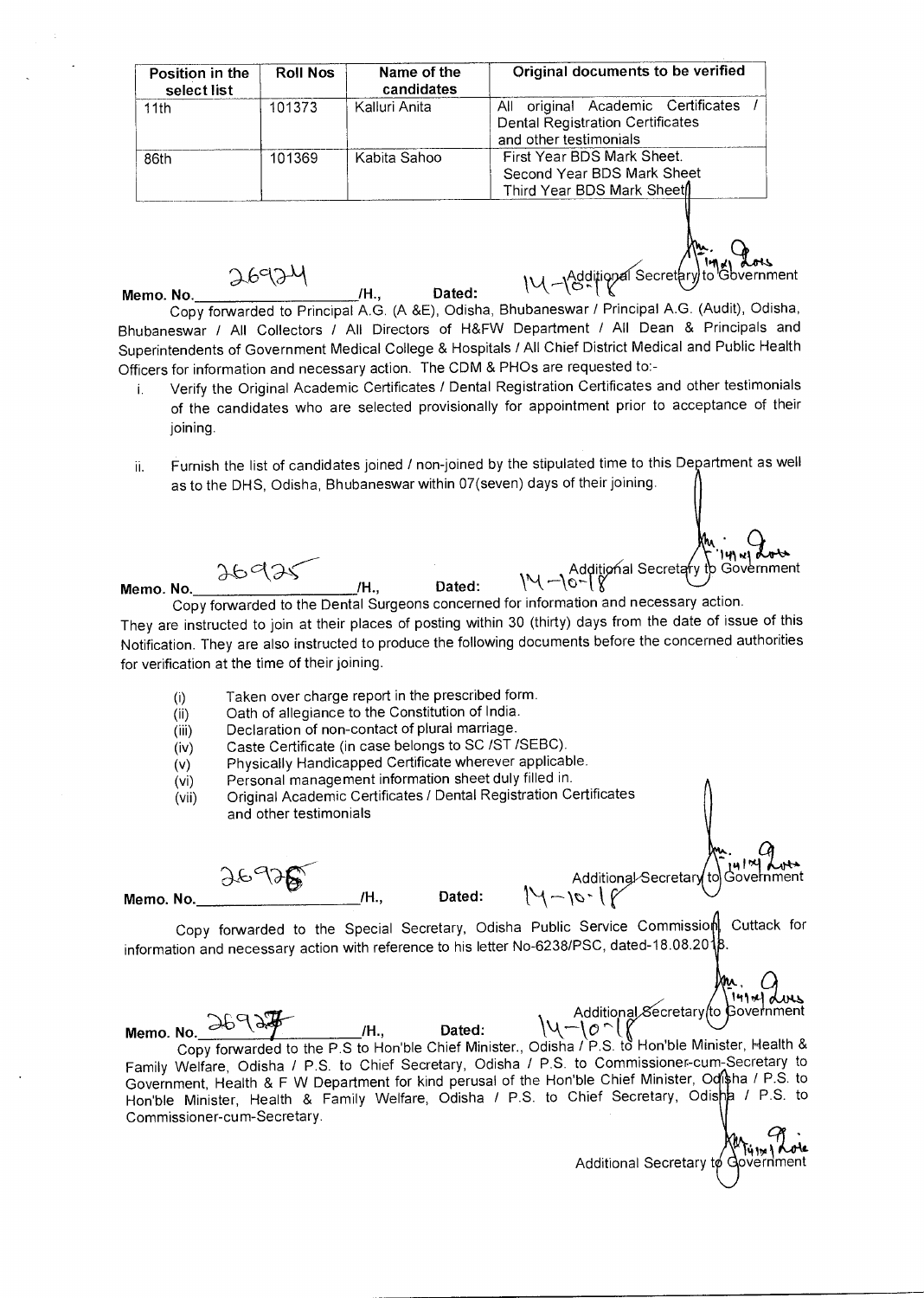| Position in the<br>select list | <b>Roll Nos</b> | Name of the<br>candidates | Original documents to be verified                                                                       |
|--------------------------------|-----------------|---------------------------|---------------------------------------------------------------------------------------------------------|
| 11th                           | 101373          | Kalluri Anita             | All original Academic Certificates<br><b>Dental Registration Certificates</b><br>and other testimonials |
| 86th                           | 101369          | Kabita Sahoo              | First Year BDS Mark Sheet.<br>Second Year BDS Mark Sheet<br>Third Year BDS Mark Sheet                   |

H., Dated:  $\mathbb{N}\left\{ \begin{array}{l}\text{Additional} \text{Secretary to Goverment} \end{array}\right.$ 

Copy forwarded to Principal A.G. (A &E), Odisha, Bhubaneswar / Principal A.G. (Audit), Odisha, Bhubaneswar / All Collectors / All Directors of H&FW Department / All Dean & Principals and Superintendents of Government Medical College & Hospitals / All Chief District Medical and Public Health Officers for information and necessary action. The CDM & PHOs are requested to:-

**14101** of ass

141 wi

Anvernment

is in **we**<br>ernment

Additional Secretary  $t\phi$ 

- i. Verify the Original Academic Certificates / Dental Registration Certificates and other testimonials of the candidates who are selected provisionally for appointment prior to acceptance of their joining.
- ii. Furnish the list of candidates joined / non-joined by the stipulated time to this Department as well as to the DHS, Odisha, Bhubaneswar within 07(seven) days of their joining.

**Memo. No.** 

**Memo. No. /H., Dated: \\1---\0--t**  Copy forwarded to the Dental Surgeons concerned for information and necessary action. They are instructed to join at their places of posting within 30 (thirty) days from the date of issue of this Notification. They are also instructed to produce the following documents before the concerned authorities for verification at the time of their joining.

 $36935$  (H. Dated:  $19-10-18$  Additional Secretary to Government

- (i) Taken over charge report in the prescribed form.<br>(ii) Oath of allegiance to the Constitution of India.
- Oath of allegiance to the Constitution of India.
- (iii) Declaration of non-contact of plural marriage.
- (iv) Caste Certificate (in case belongs to SC /ST /SEBC).
- (v) Physically Handicapped Certificate wherever applicable.<br>(vi) Personal management information sheet duly filled in.
- Personal management information sheet duly filled in.
- (vii) Original Academic Certificates / Dental Registration Certificates and other testimonials

**Memo. No.** 

**/H., Dated:** 

Additional Secretary<br>14 ~ 10 ~ 1

Copy forwarded to the Special Secretary, Odisha Public Service Commission Cuttack for information and necessary action with reference to his letter No-6238/PSC, dated-18.08.20 $\frac{1}{8}$ 

Memo. No. **36934**<br>Memo. No. **Copy forwarded to the P.S to Hon'ble Chief Minister., Odisha / P.S. to Hon'ble Minister, Health &** Family Welfare, Odisha / P.S. to Chief Secretary, Odisha / P.S. to Commissioner-cum-Secretary to Government, Health & F W Department for kind perusal of the Hon'ble Chief Minister, Odisha / P.S. to Hon'ble Minister, Health & Family Welfare, Odisha / P.S. to Chief Secretary, Odisha / P.S. to Commissioner-cum-Secretary. Additional Secretary to Government